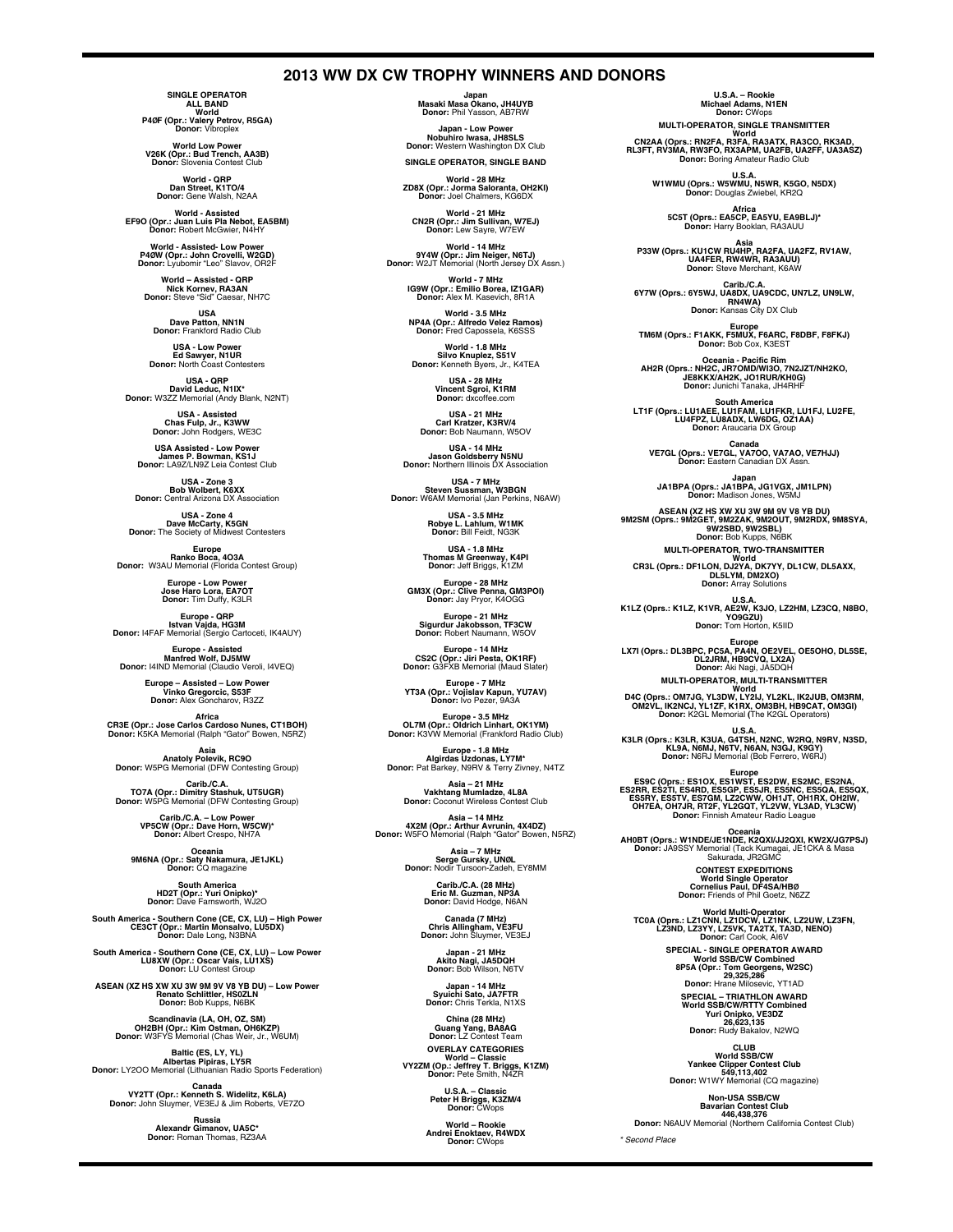# **2013 WW DX CW TROPHY WINNERS AND DONORS**

**SINGLE OPERATOR ALL BAND World P4ØF (Opr.: Valery Petrov, R5GA) Donor:** Vibroplex

**World Low Power V26K (Opr.: Bud Trench, AA3B) Donor:** Slovenia Contest Club

**World - QRP Dan Street, K1TO/4 Donor:** Gene Walsh, N2AA

**World - Assisted<br><b>EF9O (Opr.: Juan Luis Pla Nebot, EA5BM)**<br>Donor: Robert McGwier, N4HY

**World - Assisted- Low Power P4ØW (Opr.: John Crovelli, W2GD) Donor:** Lyubomir "Leo" Slavov, OR2F

**World – Assisted - QRP Nick Kornev, RA3AN Donor:** Steve "Sid" Caesar, NH7C

**USA<br>Dave Patton, NN1N<br><b>Donor:** Frankford Radio Club

**USA - Low Power Ed Sawyer, N1UR Donor:** North Coast Contesters

**USA - QRP<br>David Leduc, N1IX\*<br>Donor: W3ZZ Memorial (Andy Blank, N2NT)** 

**USA - Assisted Chas Fulp, Jr., K3WW Donor:** John Rodgers, WE3C

**USA Assisted - Low Power James P. Bowman, KS1J Donor:** LA9Z/LN9Z Leia Contest Club

**USA - Zone 3 Bob Wolbert, K6XX Donor:** Central Arizona DX Association

**USA - Zone 4 Dave McCarty, K5GN Donor:** The Society of Midwest Contesters

**Europe<br>Ranko Boca, 4O3A<br>Donor: W3AU Memorial (Florida Contest Group)** 

**Europe - Low Power Jose Haro Lora, EA7OT Donor:** Tim Duffy, K3LR

**Europe - QRP<br><b>Istvan Vajda, HG3M**<br>Donor: I4FAF Memorial (Sergio Cartoceti, IK4AUY)

**Europe - Assisted Manfred Wolf, DJ5MW Donor:** I4IND Memorial (Claudio Veroli, I4VEQ) **Europe – Assisted – Low Power**

**Vinko Gregorcic, S53F Donor:** Alex Goncharov, R3ZZ

**Africa CR3E (Opr.: Jose Carlos Cardoso Nunes, CT1BOH) Donor:** K5KA Memorial (Ralph "Gator" Bowen, N5RZ)

**Asia Anatoly Polevik, RC9O Donor:** W5PG Memorial (DFW Contesting Group)

**Carib./C.A.<br>TO7A (Opr.: Dimitry Stashuk, UT5UGR)<br>Donor: W5PG Memorial (DFW Contesting Group)** 

**Carib./C.A. – Low Power VP5CW (Opr.: Dave Horn, W5CW)\* Donor:** Albert Crespo, NH7A

**Oceania 9M6NA (Opr.: Saty Nakamura, JE1JKL) Donor:** CQ magazine

**South America HD2T (Opr.: Yuri Onipko)\* Donor:** Dave Farnsworth, WJ2O

**South America - Southern Cone (CE, CX, LU) – High Power CE3CT (Opr.: Martin Monsalvo, LU5DX) Donor:** Dale Long, N3BNA

South America - Southern Cone (CE, CX, LU) – Low Power<br>LU8XW (Opr.: Oscar Vais, LU1XS)<br>Donor: LU Contest Group

**ASEAN (XZ HS XW XU 3W 9M 9V V8 YB DU) – Low Power Renato Schlittler, HS0ZLN Donor:** Bob Kupps, N6BK

**Scandinavia (LA, OH, OZ, SM) OH2BH (Opr.: Kim Ostman, OH6KZP) Donor:** W3FYS Memorial (Chas Weir, Jr., W6UM)

**Baltic (ES, LY, YL)<br>Albertas Pipiras, LY5R<br>Donor: LY2OO Memorial (Lithuanian Radio Sports Federation)** 

**Canada<br><b>VY2TT (Opr.: Kenneth S. Widelitz, K6LA)**<br>Donor: John Sluymer, VE3EJ & Jim Roberts, VE7ZO

**Russia Alexandr Gimanov, UA5C\* Donor:** Roman Thomas, RZ3AA

**Japan Masaki Masa Okano, JH4UYB Donor:** Phil Yasson, AB7RW

**Japan - Low Power Nobuhiro Iwasa, JH8SLS Donor:** Western Washington DX Club **SINGLE OPERATOR, SINGLE BAND**

**World - 28 MHz ZD8X (Opr.: Jorma Saloranta, OH2KI) Donor:** Joel Chalmers, KG6DX

**World - 21 MHz CN2R (Opr.: Jim Sullivan, W7EJ) Donor:** Lew Sayre, W7EW

**World - 14 MHz<br><b>9Y4W (Opr.: Jim Neiger, N6TJ)**<br>Donor: W2JT Memorial (North Jersey DX Assn.)

**World - 7 MHz IG9W (Opr.: Emilio Borea, IZ1GAR) Donor:** Alex M. Kasevich, 8R1A

**World - 3.5 MHz NP4A (Opr.: Alfredo Velez Ramos) Donor:** Fred Capossela, K6SSS

**World - 1.8 MHz Silvo Knuplez, S51V Donor:** Kenneth Byers, Jr., K4TEA

**USA - 28 MHz Vincent Sgroi, K1RM Donor:** dxcoffee.com

**USA - 21 MHz Carl Kratzer, K3RV/4 Donor:** Bob Naumann, W5OV

**USA - 14 MHz Jason Goldsberry N5NU Donor:** Northern Illinois DX Association

**USA - 7 MHz Steven Sussman, W3BGN Donor:** W6AM Memorial (Jan Perkins, N6AW)

> **USA - 3.5 MHz Robye L. Lahlum, W1MK Donor:** Bill Feidt, NG3K

**USA - 1.8 MHz Thomas M Greenway, K4PI Donor:** Jeff Briggs, K1ZM

**Europe - 28 MHz GM3X (Opr.: Clive Penna, GM3POI) Donor:** Jay Pryor, K4OGG

**Europe - 21 MHz Sigurdur Jakobsson, TF3CW Donor:** Robert Naumann, W5OV

**Europe - 14 MHz CS2C (Opr.: Jiri Pesta, OK1RF) Donor:** G3FXB Memorial (Maud Slater)

**Europe - 7 MHz YT3A (Opr.: Vojislav Kapun, YU7AV) Donor:** Ivo Pezer, 9A3A

**Europe - 3.5 MHz<br>OL7M (Opr.: Oldrich Linhart, OK1YM)<br>Donor: K3VW Memorial (Frankford Radio Club)** 

**Europe - 1.8 MHz<br>\*Algirdas Uzdonas, LY7M<br>Donor: Pat Barkey, N9RV & Terry Zivney, N4TZ** 

**Asia – 21 MHz<br>Vakhtang Mumladze, 4L8A<br><b>Donor:** Coconut Wireless Contest Club

**Asia – 14 MHz<br>4X2M (Opr.: Arthur Avrunin, 4X4DZ)<br>Donor: W5FO Memorial (Ralph "Gator" Bowen, N5RZ)** 

**Asia – 7 MHz Serge Gursky, UNØL Donor:** Nodir Tursoon-Zadeh, EY8MM

> **Carib./C.A. (28 MHz) Eric M. Guzman, NP3A Donor:** David Hodge, N6AN

**Canada (7 MHz) Chris Allingham, VE3FU Donor:** John Sluymer, VE3EJ

**Japan - 21 MHz Akito Nagi, JA5DQH Donor:** Bob Wilson, N6TV

**Japan - 14 MHz Syuichi Sato, JA7FTR Donor:** Chris Terkla, N1XS

**China (28 MHz) Guang Yang, BA8AG Donor:** LZ Contest Team

**OVERLAY CATEGORIES World – Classic VY2ZM (Op.: Jeffrey T. Briggs, K1ZM) Donor:** Pete Smith, N4ZR

**U.S.A. – Classic Peter H Briggs, K3ZM/4 Donor:** CWops

**World – Rookie Andrei Enoktaev, R4WDX Donor:** CWops

**U.S.A. – Rookie Michael Adams, N1EN Donor:** CWops **MULTI-OPERATOR, SINGLE TRANSMITTER** World<br>CN2AA (Oprs.: RN2FA, R3FA, RA3ATX, RA3CO, RK3AD,<br>RL3FT, RV3MA, RW3FO, RX3APM, UA2FB, UA2FF, UA3ASZ)<br>Donor: Boring Amateur Radio Club

**U.S.A.<br>W1WMU (Oprs.: W5WMU, N5WR, K5GO, N5DX)<br>Donor: Douglas Zwiebel, KR2Q** 

**Africa<br>\*5C5T (Oprs.: EA5CP, EA5YU, EA9BLJ)<br>Donor: Harry Booklan, RA3AUU** 

Asia<br>**P33W (Oprs.: KU1CW RU4HP, RA2FA, UA2FZ, RV1AW,<br>Donor: Steve Merchant, K6AW<br>Donor: Steve Merchant, K6AW** 

Carib*.I*C.A.<br>6Y7W (Oprs.: 6Y5WJ, UA8DX, UA9CDC, UN7LZ, UN9LW,<br>Donor: Kansas City DX Club

**Europe TM6M (Oprs.: F1AKK, F5MUX, F6ARC, F8DBF, F8FKJ) Donor:** Bob Cox, K3EST

**Oceania - Pacific Rim AH2R (Oprs.: NH2C, JR7OMD/WI3O, 7N2JZT/NH2KO, JE8KKX/AH2K, JO1RUR/KH0G) Donor:** Junichi Tanaka, JH4RHF

South America<br>LT1F (Oprs.: LU1AEE, LU1FAM, LU1FKR, LU1FJ, LU2FE,<br>LU4FPZ, LU8ADX, LW6DG, OZ1AA)<br>Donor: Araucaria DX Group

**Canada<br>VE7GL (Oprs.: VE7GL, VA7OO, VA7AO, VE7HJJ)<br>Donor: Eastern Canadian DX Assn.** 

**Japan<br>JA1BPA (Oprs.: JA1BPA, JG1VGX, JM1LPN)<br>Donor: Madison Jones, W5MJ** 

**ASEAN (XZ HS XW XU 3W 9M 9V V8 YB DU) 9M2SM (Oprs.: 9M2GET, 9M2ZAK, 9M2OUT, 9M2RDX, 9M8SYA, 9W2SBD, 9W2SBL) Donor:** Bob Kupps, N6BK **MULTI-OPERATOR, TWO-TRANSMITTER World CR3L (Oprs.: DF1LON, DJ2YA, DK7YY, DL1CW, DL5AXX, DL5LYM, DM2XO) Donor:** Array Solutions

U.S.A.<br>K1LZ (Oprs.: K1LZ, K1VR, AE2W, K3JO, LZ2HM, LZ3CQ, N8BO,<br>Donor: Tom Horton, K5IID

Europe<br>LX7I (Oprs.: DL3BPC, PC5A, PA4N, OE2VEL, OE5OHO, DL5SE,<br>Donor: Aki Nagi, JA5DQH<br>Donor: Aki Nagi, JA5DQH

MULTI-OPERATOR, MULTI-TRANSMITTER<br>D4C (Oprs.: OM7JG, YL3DW, LY2IJ, YL2KL, IK2JUB, OM3RM,<br>OM2VL, IK2NCJ, YL1ZF, K1RX, OM3GI, HB9CAT, OM3Gi)<br>Donor: K2GL Memorial (The K2GL Operators)

U.S.A.<br>K3LR (Oprs.: K3LR, K3UA, G4TSH, N2NC, W2RQ, N9RV, N3SD,<br>KL9A, N6MJ, N6TV, N6AN, N3GJ, K9GY)<br>Donor: N6RJ Memorial (Bob Ferrero, W6RJ)

ES9C (Oprs.: ES1OX, ES1WGr, ES2DW, ES2MC, ES2NA,<br>ES2RR, ES2TI, ES4RD, ESSGP, ES5JR, ESSNC, ES5QA, ES5QX,<br>ES2RR, ES5TV, ES7GM, LZ2CWW, OH1JT, OH1RX, OH2IW,<br>OH7EA, OH7JR, RT2F, YL2GQT, YL2VW, YL3AD, YL3CW,<br>Donor: Finnish Ama

**AH0BT (Oprs.: W1NDE/JE1NDE, K2QXI/JJ2QXI, KW2X/JG7PSJ)<br>Donor: JA9SSY Memorial (Tack Kumagai, JE1CKA & Masa<br>Sakurada, JR2GMC<br>Sakurada, JR2GMC** 

**CONTEST EXPEDITIONS World Single Operator Cornelius Paul, DF4SA/HBØ Donor:** Friends of Phil Goetz, N6ZZ

World Multi-Operator<br>TC0A (Oprs.: LZ1CNN, LZ1DCW, LZ1NK, LZ2UW, LZ3FN,<br>LZ3ND, LZ3YY, LZ5VK, TA2TX, TA3D, NENO)<br>Donor: Carl Cook, AI6V

**SPECIAL - SINGLE OPERATOR AWARD World SSB/CW Combined 8P5A (Opr.: Tom Georgens, W2SC) 29,325,286 Donor:** Hrane Milosevic, YT1AD

**SPECIAL – TRIATHLON AWARD World SSB/CW/RTTY Combined Yuri Onipko, VE3DZ 26,623,135 Donor:** Rudy Bakalov, N2WQ

**CLUB World SSB/CW Yankee Clipper Contest Club 549,113,402 Donor:** W1WY Memorial (CQ magazine)

**Non-USA SSB/CW Bavarian Contest Club 446,438,376 Donor:** N6AUV Memorial (Northern California Contest Club)

*\* Second Place*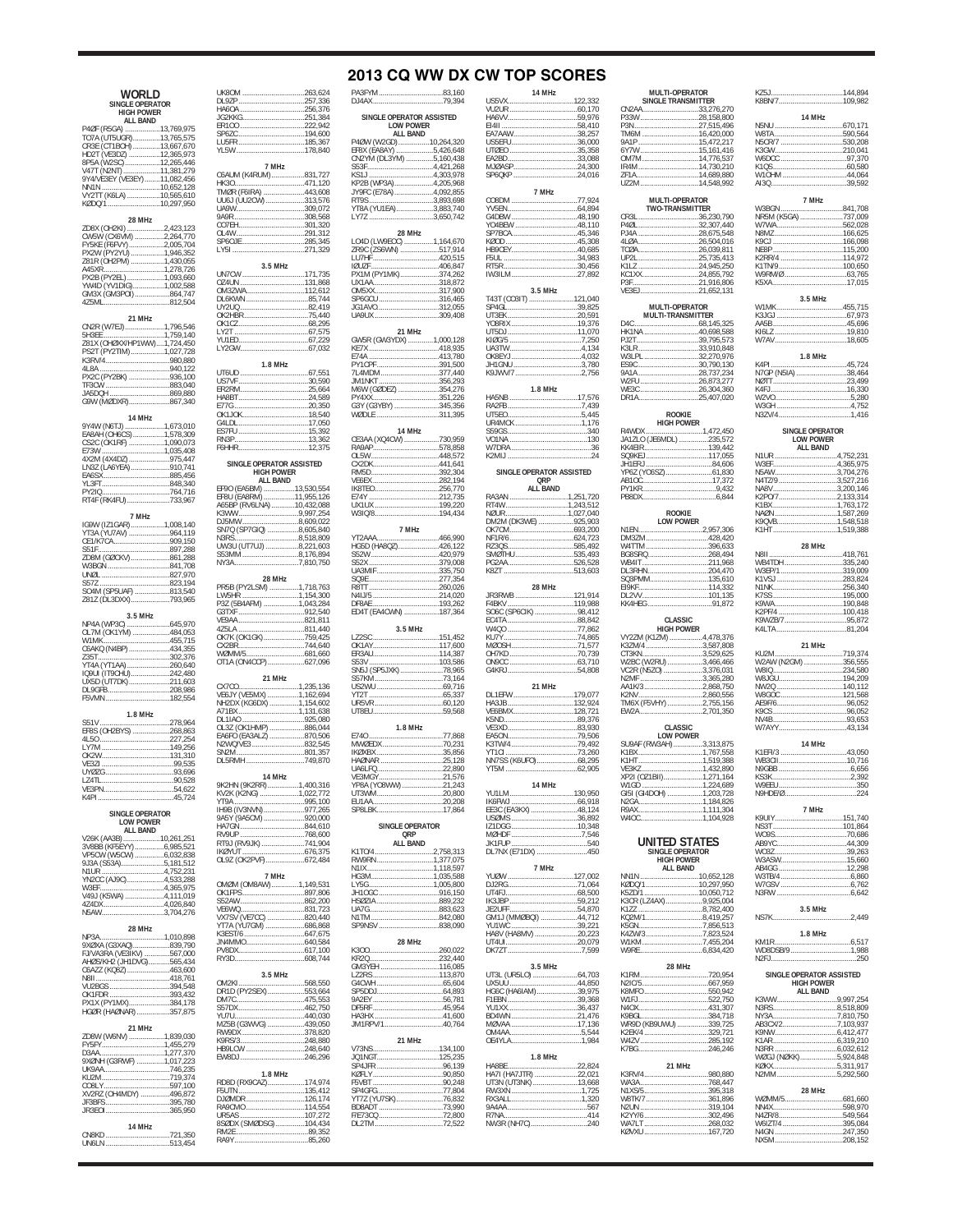### 2013 CQ WW DX CW TOP SCORES

| WORLD<br><b>SINGLE OPERATOR</b>                                               |                                                      |           |
|-------------------------------------------------------------------------------|------------------------------------------------------|-----------|
| <b>HIGH POWER</b>                                                             |                                                      |           |
| <b>ALL BAND</b>                                                               |                                                      |           |
| P4ØF (R5GA) 13,769,975                                                        |                                                      |           |
| TO7A (UT5UGR)13,765,575<br>CR3E (CT1BOH)13,667,670<br>HD2T (VE3DZ) 12,365,973 |                                                      |           |
| 8P5A (W2SC)12,265,446                                                         | 7 MHz                                                |           |
| V47T (N2NT) 11,381,279<br>9Y4/VE3EY (VE3EY) 11,082,456                        | C6AUM (K4RUM)831,727                                 |           |
| NN1N                                                                          |                                                      |           |
| VY2TT (K6LA) 10,565,610<br>KØDQ/1 10,297,950                                  |                                                      |           |
|                                                                               |                                                      |           |
| 28 MHz<br>ZD8X (OH2KI) 2,423,123                                              | CO7EH301,320                                         |           |
| CW5W (CX6VM) 2,264,770                                                        | SP6OJE285,345                                        |           |
| FY5KE (F6FVY) 2,005,704<br>PX2W (PY2YU) 1,946,352                             |                                                      |           |
|                                                                               | 3.5 MHz                                              |           |
|                                                                               | UN7CW 171,735                                        |           |
| PX2B (PY2EL) 1,093,660<br>YW4D (YV1DIG) 1,002,588                             |                                                      |           |
| GM3X (GM3POI) 864,747                                                         |                                                      |           |
|                                                                               | OK2HBR75,440                                         |           |
| 21 MHz<br>CN2R (W7EJ)1,796,546                                                |                                                      |           |
| 1,759,140<br>5H3EE                                                            |                                                      |           |
|                                                                               |                                                      |           |
|                                                                               | <b>1.8 MHz</b>                                       |           |
|                                                                               |                                                      |           |
|                                                                               |                                                      |           |
|                                                                               |                                                      |           |
|                                                                               |                                                      |           |
| 14 MHz<br>9Y4W (N6TJ) 1,673,010                                               |                                                      |           |
| EA8AH (OH6CS)1,578,309                                                        |                                                      |           |
| CS2C (OK1RF) 1,090,073<br>E73W 1,035,408                                      |                                                      |           |
| 4X2M (4X4DZ) 975,447<br>LN3Z (LA6YEA) 910,741                                 | SINGLE OPERATOR ASSISTED                             |           |
|                                                                               | <b>HIGH POWER</b>                                    |           |
|                                                                               | <b>ALL BAND</b><br>EF9O (EA5BM) 13,530,554           |           |
| PY2IQ764,716<br>RT4F (RK4FU) 733,967                                          | EF8U (EA8RM) 11,955,126<br>A65BP (RV6LNA) 10,432,088 |           |
| 7 MHz                                                                         |                                                      |           |
| IG9W (IZ1GAR)1,008,140                                                        |                                                      |           |
| YT3A (YU7AV) 964,119                                                          |                                                      |           |
|                                                                               | UW3U (UT7UJ) 8,221,603                               |           |
| ZD8M (GØCKV)861,288                                                           |                                                      |           |
| W3BGN 841,708                                                                 |                                                      |           |
| SO4M (SP5UAF) 813,540                                                         | 28 MHz<br>PR5B (PY2LSM) 1,718,763                    |           |
| Z81Z (DL3DXX)793,965                                                          | LW5HR 1,154,300<br>P3Z (5B4AFM) 1,043,284            |           |
|                                                                               |                                                      |           |
|                                                                               |                                                      |           |
|                                                                               |                                                      |           |
| C6AKQ (N4BP) 434,355                                                          |                                                      |           |
|                                                                               |                                                      |           |
|                                                                               | 21 MHz                                               |           |
| UX5D (UT7DK) 211,603<br>DL9GFB208,986                                         | CX7CO                                                | 1,235,136 |
| F5VMN182,554                                                                  |                                                      |           |
| 1.8 MHz                                                                       |                                                      |           |
|                                                                               | OL3Z (OK1HMP) 886,044                                |           |
|                                                                               | EA6FO (EA3ALZ) 870,506                               |           |
| OK2W131,310                                                                   |                                                      |           |
|                                                                               | DL5RMH749,870                                        |           |
|                                                                               | 14 MH <sub>7</sub>                                   |           |
|                                                                               | 9K2HN (9K2RR)1,400,316                               |           |
|                                                                               | KV2K (K2NG) 1,022,772                                |           |
| <b>SINGLE OPERATOR</b>                                                        |                                                      |           |
| <b>LOW POWER</b><br><b>ALL BAND</b>                                           |                                                      |           |
| V26K (AA3B)10,261,251                                                         | RV9UP 768,600<br>RT9J (RV9JK) 741,904                |           |
| 3V8BB (KF5EYY)6,985,521<br>VP5CW (W5CW)6,032,838                              |                                                      |           |
| 9J3A (S53A)5,181,512                                                          |                                                      |           |
|                                                                               | 7 MHz                                                |           |
|                                                                               | OMØM (OM8AW)1,149,531                                |           |
| V49J (K5WA) 4,111,019                                                         |                                                      |           |
| N5AW3,704,276                                                                 | VE6WQ831,723                                         |           |
| 28 MHz                                                                        |                                                      |           |
| <b>NP3A</b><br>1,010,898                                                      |                                                      |           |
|                                                                               |                                                      |           |
| C6AZZ (KQ8Z) 463,600                                                          |                                                      |           |
|                                                                               | 3.5 MHz                                              |           |
| VU2BGS 394,548<br>OK1FDR 393,432                                              | DR1D (PY2SEX)553,664                                 |           |
| PX1X (PY1MX)384,178                                                           |                                                      |           |
| HGØR (HAØNAR) 357,875                                                         |                                                      |           |
| 21 MHz                                                                        | MZ5B (G3WVG) 439,050<br>RW9DX 378,820                |           |
| ZD8W (W6NV) 1,839,030                                                         |                                                      |           |
|                                                                               | HB9LCW 248,640                                       |           |
| 9XØNH (G3RWF) 1,017,223                                                       |                                                      |           |
|                                                                               | 1.8 MHz<br>RD8D (RX9CAZ)174,974                      |           |
|                                                                               | F5UTN135,412                                         |           |
|                                                                               | DJØMDR126,174<br>RA9CMO 114,554                      |           |
| JR3EOI365,950                                                                 |                                                      |           |
| 14 MHz                                                                        |                                                      |           |
| CN8KD 721,350                                                                 |                                                      |           |
|                                                                               |                                                      |           |

| 263,624<br>257,336<br>256,376<br>251,384                                                                |                                                                                                                                                                                                                                                                                                                                                                                  |  |
|---------------------------------------------------------------------------------------------------------|----------------------------------------------------------------------------------------------------------------------------------------------------------------------------------------------------------------------------------------------------------------------------------------------------------------------------------------------------------------------------------|--|
|                                                                                                         | SINGLE OPERATOR ASSISTED                                                                                                                                                                                                                                                                                                                                                         |  |
| 231,384<br>222,942<br>194,600<br>185,367                                                                | <b>LOW POWER</b>                                                                                                                                                                                                                                                                                                                                                                 |  |
|                                                                                                         | <b>ALL BAND</b>                                                                                                                                                                                                                                                                                                                                                                  |  |
| 178,840                                                                                                 |                                                                                                                                                                                                                                                                                                                                                                                  |  |
|                                                                                                         |                                                                                                                                                                                                                                                                                                                                                                                  |  |
| 831,727<br>471,120                                                                                      | P40W (W2GD)<br>ALL BAND<br>EFRX (EABAY)<br>CN2YM (DL3YM)<br>5,420,648<br>CN2YM (DL3YM)<br>5,5160,438<br>SS3F<br>(W3DE)<br>4,4202,695<br>PYFC (E7BA)<br>PYFC (E7BA)<br>2,978,699,798<br>PYFC (E7BA)<br>2,978,699,698<br>PITS<br>PITS<br>CN2R (PVFC (E7BA)<br>2,978,                                                                                                               |  |
| 443,608                                                                                                 |                                                                                                                                                                                                                                                                                                                                                                                  |  |
|                                                                                                         |                                                                                                                                                                                                                                                                                                                                                                                  |  |
|                                                                                                         |                                                                                                                                                                                                                                                                                                                                                                                  |  |
|                                                                                                         | 28 MHz                                                                                                                                                                                                                                                                                                                                                                           |  |
| 443,608<br>313,576<br>309,072<br>308,568<br>301,320<br>291,312<br>285,345<br>271,329                    | LO4D (LW9EOC) 1,164,670<br>ZR9C (ZS6WN) 517,914                                                                                                                                                                                                                                                                                                                                  |  |
|                                                                                                         |                                                                                                                                                                                                                                                                                                                                                                                  |  |
|                                                                                                         |                                                                                                                                                                                                                                                                                                                                                                                  |  |
| 171,735<br>131,868                                                                                      |                                                                                                                                                                                                                                                                                                                                                                                  |  |
| 112,612                                                                                                 |                                                                                                                                                                                                                                                                                                                                                                                  |  |
|                                                                                                         |                                                                                                                                                                                                                                                                                                                                                                                  |  |
| 112,612<br>85,744<br>82,419<br>75,440<br>68,295<br>67,575<br>67,229                                     |                                                                                                                                                                                                                                                                                                                                                                                  |  |
|                                                                                                         | 21 MHz                                                                                                                                                                                                                                                                                                                                                                           |  |
|                                                                                                         |                                                                                                                                                                                                                                                                                                                                                                                  |  |
|                                                                                                         |                                                                                                                                                                                                                                                                                                                                                                                  |  |
|                                                                                                         |                                                                                                                                                                                                                                                                                                                                                                                  |  |
|                                                                                                         |                                                                                                                                                                                                                                                                                                                                                                                  |  |
|                                                                                                         |                                                                                                                                                                                                                                                                                                                                                                                  |  |
|                                                                                                         |                                                                                                                                                                                                                                                                                                                                                                                  |  |
|                                                                                                         |                                                                                                                                                                                                                                                                                                                                                                                  |  |
| 67,551<br>30,590<br>25,664<br>24,589<br>20,350<br>18,540<br>17,050<br>15,392<br>13,362<br>13,362        | 14 MHz                                                                                                                                                                                                                                                                                                                                                                           |  |
|                                                                                                         |                                                                                                                                                                                                                                                                                                                                                                                  |  |
|                                                                                                         |                                                                                                                                                                                                                                                                                                                                                                                  |  |
| <b>STED</b>                                                                                             |                                                                                                                                                                                                                                                                                                                                                                                  |  |
|                                                                                                         |                                                                                                                                                                                                                                                                                                                                                                                  |  |
| 530,554<br>955,126                                                                                      |                                                                                                                                                                                                                                                                                                                                                                                  |  |
| 432,088                                                                                                 |                                                                                                                                                                                                                                                                                                                                                                                  |  |
|                                                                                                         |                                                                                                                                                                                                                                                                                                                                                                                  |  |
| 605,840                                                                                                 | 7 MHz<br>YT2AAA466,990<br>HG5D (HA8QZ)426,122                                                                                                                                                                                                                                                                                                                                    |  |
| 518,809<br>221,603                                                                                      |                                                                                                                                                                                                                                                                                                                                                                                  |  |
| 176,894<br>810,750                                                                                      | $\begin{array}{r} \text{S52W}\dots\text{326,122}\dots\text{420,122}\ \text{S52W}\dots\text{327,008}\ \text{S52W}\dots\text{379,008}\ \text{S09F}\dots\text{335,750}\ \text{S09F}\dots\text{335,750}\ \text{R8TT}\dots\text{336,026}\ \text{R8TT}\dots\text{336,026}\ \text{R8TT}\dots\text{338,126}\ \text{R8TT}\dots\text{338,126}\ \text{R8TT}\dots\text{338,126}\ \text{R8TT$ |  |
|                                                                                                         |                                                                                                                                                                                                                                                                                                                                                                                  |  |
|                                                                                                         |                                                                                                                                                                                                                                                                                                                                                                                  |  |
| 718,763<br>154,300<br>043,284                                                                           |                                                                                                                                                                                                                                                                                                                                                                                  |  |
|                                                                                                         |                                                                                                                                                                                                                                                                                                                                                                                  |  |
| 912,540<br>821,811                                                                                      |                                                                                                                                                                                                                                                                                                                                                                                  |  |
| 811,440<br>811,440<br>759,425<br>744,640                                                                | 3.5 MHz                                                                                                                                                                                                                                                                                                                                                                          |  |
|                                                                                                         | $151,452$<br>$0K1AY$ $0K1AY$ $17,600$<br>$183.01$ $193.86$<br>$183.01$ $193.86$<br>SN5J (SP5JXK) $78,965$<br>$1877M$ $3104.371$                                                                                                                                                                                                                                                  |  |
| 681,660<br>627,096                                                                                      |                                                                                                                                                                                                                                                                                                                                                                                  |  |
|                                                                                                         |                                                                                                                                                                                                                                                                                                                                                                                  |  |
| 235,136                                                                                                 |                                                                                                                                                                                                                                                                                                                                                                                  |  |
| 233, 133<br>162, 694<br>131, 638                                                                        |                                                                                                                                                                                                                                                                                                                                                                                  |  |
|                                                                                                         |                                                                                                                                                                                                                                                                                                                                                                                  |  |
| 925,080                                                                                                 |                                                                                                                                                                                                                                                                                                                                                                                  |  |
| 886,044<br>870,506                                                                                      | 1.8 MHz                                                                                                                                                                                                                                                                                                                                                                          |  |
| 832,545                                                                                                 |                                                                                                                                                                                                                                                                                                                                                                                  |  |
| 801,357<br>749,870                                                                                      |                                                                                                                                                                                                                                                                                                                                                                                  |  |
|                                                                                                         | 1.576<br>VE3MGY<br>VE3MGY<br>VE3MGY<br>VE3MGY<br>20,800<br>20,800<br>20,800<br>20,800<br>20,800                                                                                                                                                                                                                                                                                  |  |
| 400,316                                                                                                 |                                                                                                                                                                                                                                                                                                                                                                                  |  |
| 022,772                                                                                                 |                                                                                                                                                                                                                                                                                                                                                                                  |  |
| 995,100<br>977,265                                                                                      |                                                                                                                                                                                                                                                                                                                                                                                  |  |
| 920,000                                                                                                 |                                                                                                                                                                                                                                                                                                                                                                                  |  |
| 844,610                                                                                                 | SINGLE OPERATOR<br>QRP                                                                                                                                                                                                                                                                                                                                                           |  |
| 768,600<br>741,904<br>676,375                                                                           | <b>ALL BAND</b><br>K1TO/42,758,313                                                                                                                                                                                                                                                                                                                                               |  |
| 672,484                                                                                                 | RW9RN1,377,075                                                                                                                                                                                                                                                                                                                                                                   |  |
|                                                                                                         |                                                                                                                                                                                                                                                                                                                                                                                  |  |
| 149,531                                                                                                 |                                                                                                                                                                                                                                                                                                                                                                                  |  |
| 897,806                                                                                                 |                                                                                                                                                                                                                                                                                                                                                                                  |  |
| 862,200<br>831,723                                                                                      |                                                                                                                                                                                                                                                                                                                                                                                  |  |
| 820,440                                                                                                 | SP9NSV 838,090                                                                                                                                                                                                                                                                                                                                                                   |  |
| 686,868<br>647,675                                                                                      |                                                                                                                                                                                                                                                                                                                                                                                  |  |
| 647,675<br>640,584<br>617,100<br>608,744                                                                | 28 MHz                                                                                                                                                                                                                                                                                                                                                                           |  |
|                                                                                                         |                                                                                                                                                                                                                                                                                                                                                                                  |  |
|                                                                                                         | GM3YEH 116,085                                                                                                                                                                                                                                                                                                                                                                   |  |
| 568,550                                                                                                 | LZ2RS113,870                                                                                                                                                                                                                                                                                                                                                                     |  |
| 553,664                                                                                                 |                                                                                                                                                                                                                                                                                                                                                                                  |  |
|                                                                                                         |                                                                                                                                                                                                                                                                                                                                                                                  |  |
|                                                                                                         |                                                                                                                                                                                                                                                                                                                                                                                  |  |
|                                                                                                         |                                                                                                                                                                                                                                                                                                                                                                                  |  |
|                                                                                                         |                                                                                                                                                                                                                                                                                                                                                                                  |  |
|                                                                                                         | 21 MHz                                                                                                                                                                                                                                                                                                                                                                           |  |
| 475,553<br>462,750<br>440,030<br>$\frac{1}{439,050}$<br>$\frac{378,820}{248,880}$<br>248,640<br>246,296 |                                                                                                                                                                                                                                                                                                                                                                                  |  |
|                                                                                                         |                                                                                                                                                                                                                                                                                                                                                                                  |  |
|                                                                                                         |                                                                                                                                                                                                                                                                                                                                                                                  |  |
|                                                                                                         |                                                                                                                                                                                                                                                                                                                                                                                  |  |
| 174,974<br>135,412<br>126,174                                                                           |                                                                                                                                                                                                                                                                                                                                                                                  |  |
| 114,554<br>107,272<br>104,434                                                                           |                                                                                                                                                                                                                                                                                                                                                                                  |  |

| 79,394                                                                                                      |                                                   |
|-------------------------------------------------------------------------------------------------------------|---------------------------------------------------|
| SSISTED                                                                                                     |                                                   |
|                                                                                                             |                                                   |
| 10,264,320                                                                                                  |                                                   |
|                                                                                                             |                                                   |
|                                                                                                             |                                                   |
|                                                                                                             |                                                   |
| .5,426,648<br>.5,160,438<br>.4,421,268<br>.4,303,978<br>.4,205,968                                          | SP6QKP                                            |
| ,200,700<br>4,092,855<br>3,893,698<br>3,883,740<br>3,650,742                                                | 7 MHz                                             |
|                                                                                                             |                                                   |
|                                                                                                             |                                                   |
|                                                                                                             |                                                   |
|                                                                                                             |                                                   |
|                                                                                                             |                                                   |
| 1,164,670<br>517,914<br>420,515                                                                             | HB9CEY<br>F5UL<br>RT5R<br>W3ILM                   |
|                                                                                                             |                                                   |
|                                                                                                             |                                                   |
| $\begin{array}{r} 1.11666847 \\ -374262 \\ -318872 \\ -317900 \\ -316465 \\ -312055 \end{array}$            |                                                   |
|                                                                                                             |                                                   |
|                                                                                                             |                                                   |
| $\frac{312,055}{309,408}$                                                                                   |                                                   |
|                                                                                                             |                                                   |
|                                                                                                             |                                                   |
|                                                                                                             |                                                   |
|                                                                                                             |                                                   |
|                                                                                                             |                                                   |
|                                                                                                             |                                                   |
|                                                                                                             | 1.8 MHz                                           |
|                                                                                                             |                                                   |
| 1,000,128<br>418,935<br>413,780<br>377,440<br>356,293<br>351,226<br>351,226<br>345,356<br>311,395           |                                                   |
|                                                                                                             |                                                   |
|                                                                                                             |                                                   |
|                                                                                                             |                                                   |
|                                                                                                             |                                                   |
|                                                                                                             |                                                   |
|                                                                                                             | SINGLE OPERATOR ASS                               |
|                                                                                                             | QRP<br>ALL BAND                                   |
| 730,959<br>578,858<br>443,572<br>441,641<br>282,194<br>256,770<br>212,735<br>199,220<br>194,434             |                                                   |
|                                                                                                             |                                                   |
|                                                                                                             |                                                   |
|                                                                                                             |                                                   |
| 466,990                                                                                                     |                                                   |
|                                                                                                             |                                                   |
|                                                                                                             |                                                   |
|                                                                                                             |                                                   |
|                                                                                                             |                                                   |
| 466,990<br>426,122<br>420,979<br>379,008<br>277,354<br>277,354<br>214,020<br>213,262<br>193,262<br>193,262  | 28 MHz<br>JR3RWB                                  |
|                                                                                                             |                                                   |
|                                                                                                             |                                                   |
|                                                                                                             |                                                   |
|                                                                                                             |                                                   |
|                                                                                                             |                                                   |
|                                                                                                             |                                                   |
|                                                                                                             |                                                   |
|                                                                                                             |                                                   |
|                                                                                                             | W4U0<br>MDOSH<br>MDOSH<br>OH7KD<br>ON9CC<br>G4KRJ |
|                                                                                                             | 21 MHz                                            |
|                                                                                                             |                                                   |
|                                                                                                             |                                                   |
|                                                                                                             |                                                   |
|                                                                                                             |                                                   |
|                                                                                                             |                                                   |
|                                                                                                             |                                                   |
|                                                                                                             |                                                   |
|                                                                                                             |                                                   |
| $\begin{array}{r} 77,868 \\ 70,231 \\ 35,856 \\ 25,128 \\ 22,890 \\ 21,576 \\ 21,243 \\ 20,800 \end{array}$ | 14 MHz                                            |
| .00800                                                                                                      | YU11 N<br>Л                                       |
| $\ldots$ 20,208<br>17,864                                                                                   | <u>YUTEM</u><br>IK6FWJ<br>EE3C (EA3KX)            |
|                                                                                                             |                                                   |
| 0R                                                                                                          |                                                   |
|                                                                                                             |                                                   |
| .2,758,313                                                                                                  |                                                   |
|                                                                                                             | 7 MHz                                             |
|                                                                                                             |                                                   |
| .1,005,800                                                                                                  |                                                   |
|                                                                                                             |                                                   |
| $\frac{0.000,000}{0.000,000}$<br>883,623                                                                    | IK3JBP<br>JE2UFF                                  |
| 842,080                                                                                                     | GM1J (MMØBQI)                                     |
| 838,090                                                                                                     |                                                   |
|                                                                                                             |                                                   |
|                                                                                                             |                                                   |
| $\frac{260,022}{232,440}$                                                                                   |                                                   |
|                                                                                                             | 3.5 MHz                                           |
| 65,604                                                                                                      | UT3L (UR5LO)                                      |
| 64,893                                                                                                      |                                                   |
| 56,781<br>45,954                                                                                            |                                                   |
|                                                                                                             |                                                   |
| 41,600<br>40,764                                                                                            |                                                   |
|                                                                                                             |                                                   |
|                                                                                                             |                                                   |
|                                                                                                             | 1.8 MHz                                           |
|                                                                                                             |                                                   |
|                                                                                                             |                                                   |
|                                                                                                             | RW3XN<br>RX3ALL                                   |
|                                                                                                             |                                                   |
|                                                                                                             |                                                   |
|                                                                                                             |                                                   |
|                                                                                                             |                                                   |

| 14 MHz                                                                                                                                                                        | MULTI-OPERATOR                                                                                                 |  |
|-------------------------------------------------------------------------------------------------------------------------------------------------------------------------------|----------------------------------------------------------------------------------------------------------------|--|
| 122,332                                                                                                                                                                       | <b>SINGLE TRANSMITTER</b>                                                                                      |  |
|                                                                                                                                                                               | CN2AA33,276,270                                                                                                |  |
| 59,976                                                                                                                                                                        |                                                                                                                |  |
| $58,410$<br>$38,257$                                                                                                                                                          | TM6M 16,420,000                                                                                                |  |
| 36,000                                                                                                                                                                        |                                                                                                                |  |
| 35,358                                                                                                                                                                        |                                                                                                                |  |
| $33,088$                                                                                                                                                                      | OM7M14,776,537                                                                                                 |  |
| 24,016                                                                                                                                                                        |                                                                                                                |  |
|                                                                                                                                                                               |                                                                                                                |  |
| 7 MHz<br>77,924                                                                                                                                                               | MULTI-OPERATOR                                                                                                 |  |
|                                                                                                                                                                               | <b>TWO-TRANSMITTER</b>                                                                                         |  |
| 48,110                                                                                                                                                                        | CR3L36,230,790<br>P40L32,307,440                                                                               |  |
|                                                                                                                                                                               |                                                                                                                |  |
|                                                                                                                                                                               |                                                                                                                |  |
| $40,685$<br>$34,983$                                                                                                                                                          |                                                                                                                |  |
|                                                                                                                                                                               |                                                                                                                |  |
| $30,456$                                                                                                                                                                      | KC1XX24,855,792                                                                                                |  |
| $3.5$ MHz                                                                                                                                                                     |                                                                                                                |  |
| 121,040                                                                                                                                                                       |                                                                                                                |  |
| 39,825                                                                                                                                                                        | MULTI-OPERATOR                                                                                                 |  |
|                                                                                                                                                                               | <b>MULTI-TRANSMITTER</b><br>D <sub>4</sub> C                                                                   |  |
|                                                                                                                                                                               |                                                                                                                |  |
|                                                                                                                                                                               |                                                                                                                |  |
|                                                                                                                                                                               |                                                                                                                |  |
|                                                                                                                                                                               | ES9C 30,790,130                                                                                                |  |
|                                                                                                                                                                               |                                                                                                                |  |
| 1.8 MHz                                                                                                                                                                       |                                                                                                                |  |
|                                                                                                                                                                               |                                                                                                                |  |
|                                                                                                                                                                               |                                                                                                                |  |
|                                                                                                                                                                               | <b>ROOKIE</b><br><b>HIGH POWER</b>                                                                             |  |
|                                                                                                                                                                               | R4WDX                                                                                                          |  |
|                                                                                                                                                                               | R4WDX 1,472,450<br>JA1ZLO (JE6MDL) 235,572                                                                     |  |
|                                                                                                                                                                               | KK4EIR                                                                                                         |  |
|                                                                                                                                                                               |                                                                                                                |  |
| <b>ERATOR ASSISTED</b>                                                                                                                                                        |                                                                                                                |  |
| QRP                                                                                                                                                                           |                                                                                                                |  |
| LL BAND                                                                                                                                                                       |                                                                                                                |  |
|                                                                                                                                                                               |                                                                                                                |  |
|                                                                                                                                                                               | <b>ROOKIE</b><br><b>LOW POWER</b>                                                                              |  |
|                                                                                                                                                                               |                                                                                                                |  |
|                                                                                                                                                                               |                                                                                                                |  |
| 585,492                                                                                                                                                                       |                                                                                                                |  |
| 535,493                                                                                                                                                                       |                                                                                                                |  |
| 513,603                                                                                                                                                                       | DL3RHN204,470                                                                                                  |  |
| 28 MHz                                                                                                                                                                        | SQ3PMM135,610                                                                                                  |  |
|                                                                                                                                                                               |                                                                                                                |  |
|                                                                                                                                                                               |                                                                                                                |  |
|                                                                                                                                                                               |                                                                                                                |  |
|                                                                                                                                                                               | CLASSIC                                                                                                        |  |
|                                                                                                                                                                               |                                                                                                                |  |
|                                                                                                                                                                               | <b>HIGH POWER</b>                                                                                              |  |
|                                                                                                                                                                               | VY2ZM (K1ZM) 4,478,376<br>K3ZM/4 3,587,808                                                                     |  |
|                                                                                                                                                                               |                                                                                                                |  |
|                                                                                                                                                                               |                                                                                                                |  |
| $\begin{array}{r} 48,412 \ \text{} \\ -88,842 \ \text{} \\ -77,862 \ \text{} \\ -71,577 \ \text{} \\ -71,577 \ \text{} \\ -63,710 \ \text{} \\ -54,808 \ \text{} \end{array}$ | $3,529,625$<br>W2BC (W2RU)<br>$3,529,625$<br>W2BC (W2RU)<br>$3,376,031$<br>$3,376,031$<br>$3,365,280$<br>$200$ |  |
| 21 MH <sub>7</sub>                                                                                                                                                            |                                                                                                                |  |
|                                                                                                                                                                               |                                                                                                                |  |
|                                                                                                                                                                               |                                                                                                                |  |
|                                                                                                                                                                               | CLASSIC                                                                                                        |  |
| $89,376$<br>$83,930$                                                                                                                                                          | <b>LOW POWER</b>                                                                                               |  |
|                                                                                                                                                                               |                                                                                                                |  |
|                                                                                                                                                                               | SU9AF (RW3AH)3,313,875<br>K1BX1,767,558                                                                        |  |
| 62,905                                                                                                                                                                        |                                                                                                                |  |
|                                                                                                                                                                               |                                                                                                                |  |
| 14 MHz                                                                                                                                                                        | X1HT<br>X1HT<br>VE3KZ<br>VE3KZ<br>VE3KZ<br>MIGD<br>MIGD<br>1,224,689<br>1,224,689<br>1,224,689<br>1,224,689    |  |
|                                                                                                                                                                               |                                                                                                                |  |
|                                                                                                                                                                               |                                                                                                                |  |
| 36,892                                                                                                                                                                        |                                                                                                                |  |
|                                                                                                                                                                               |                                                                                                                |  |
| 540                                                                                                                                                                           | UNITED STATES                                                                                                  |  |
|                                                                                                                                                                               | SINGLE OPERATOR<br><b>HIGH POWER</b>                                                                           |  |
| 7 MHz                                                                                                                                                                         | ALL BAND                                                                                                       |  |
| 127,002                                                                                                                                                                       | NN1N 10,652,128                                                                                                |  |
|                                                                                                                                                                               |                                                                                                                |  |
| 59,212                                                                                                                                                                        |                                                                                                                |  |
| 54,870                                                                                                                                                                        |                                                                                                                |  |
| 21) 44,712                                                                                                                                                                    | K5GN7,856,513                                                                                                  |  |
| $\frac{39,221}{20,223}$                                                                                                                                                       | K4ZW/37,823,524                                                                                                |  |
| 20,079                                                                                                                                                                        | W1KM7,455,204                                                                                                  |  |
| 7,599                                                                                                                                                                         |                                                                                                                |  |
| 3.5 MHz                                                                                                                                                                       | 28 MHz                                                                                                         |  |
|                                                                                                                                                                               | K1RM720,954                                                                                                    |  |
| 44,850                                                                                                                                                                        |                                                                                                                |  |
|                                                                                                                                                                               |                                                                                                                |  |
|                                                                                                                                                                               |                                                                                                                |  |
|                                                                                                                                                                               |                                                                                                                |  |
|                                                                                                                                                                               |                                                                                                                |  |
|                                                                                                                                                                               |                                                                                                                |  |
| 1.8 MHz                                                                                                                                                                       |                                                                                                                |  |
|                                                                                                                                                                               | 21 MHz                                                                                                         |  |
| 22,824                                                                                                                                                                        |                                                                                                                |  |
|                                                                                                                                                                               |                                                                                                                |  |
| $1,725$<br>$1,725$<br>$1,320$                                                                                                                                                 | N1XS/5395,318<br>W8TK/7361,896                                                                                 |  |
| 567                                                                                                                                                                           | K2YY/6302,496                                                                                                  |  |

| 14 MHz                               |     |
|--------------------------------------|-----|
|                                      |     |
| W8TA590,564<br>N5CR/7<br>530,208     |     |
|                                      |     |
|                                      |     |
|                                      |     |
| W10HM 44,064                         |     |
|                                      |     |
| 7 MHz<br>W3BGN 841,708               |     |
| NR5M (K5GA) 737,009                  |     |
|                                      |     |
|                                      |     |
|                                      |     |
| K2RR/4 114,972                       |     |
| K1TN/9100,650                        |     |
|                                      |     |
|                                      |     |
| 3.5 MHz                              |     |
|                                      |     |
|                                      |     |
|                                      |     |
| 1.8 MHz                              |     |
| K4PI                                 |     |
| N7GP (N5IA) 38,464                   |     |
|                                      |     |
|                                      |     |
|                                      |     |
|                                      |     |
| SINGLE OPERATOR<br>LOW POWER         |     |
| <b>ALL BAND</b>                      |     |
|                                      |     |
|                                      |     |
|                                      |     |
|                                      |     |
|                                      |     |
|                                      |     |
|                                      |     |
|                                      |     |
| 28 MHz                               |     |
| 418,761<br>N8II.                     |     |
|                                      |     |
|                                      |     |
|                                      |     |
| Κ                                    |     |
| K2PF/4 100,418                       |     |
|                                      |     |
|                                      |     |
| 21 MHz<br>KU2M<br>719,374            |     |
|                                      |     |
|                                      |     |
| W8JGU194,209                         |     |
|                                      |     |
|                                      |     |
|                                      |     |
|                                      |     |
|                                      |     |
| 14 MHz<br>K1EFI/3 43,050             |     |
|                                      |     |
|                                      |     |
|                                      |     |
| W9FFU.                               |     |
|                                      |     |
| 7 MHz<br>K9UIY151,740                |     |
|                                      |     |
|                                      |     |
|                                      |     |
|                                      |     |
|                                      |     |
|                                      |     |
|                                      |     |
| 3.5 MHz                              |     |
| <b>NS7K</b>                          |     |
| 1.8 MHz                              |     |
| WD8DSB/91,988                        |     |
| SINGLE OPERATOR ASSISTED             |     |
| <b>HIGH POWER</b><br><b>ALL BAND</b> |     |
| K3WW9,997,254                        |     |
| N3RS8,518,809                        |     |
|                                      |     |
|                                      |     |
|                                      |     |
|                                      |     |
|                                      |     |
|                                      |     |
| 28 MHz                               |     |
|                                      |     |
|                                      |     |
| N4ZR/8549,564                        | 350 |

..268,032<br>..167,720

NX5M.

 $.208,152$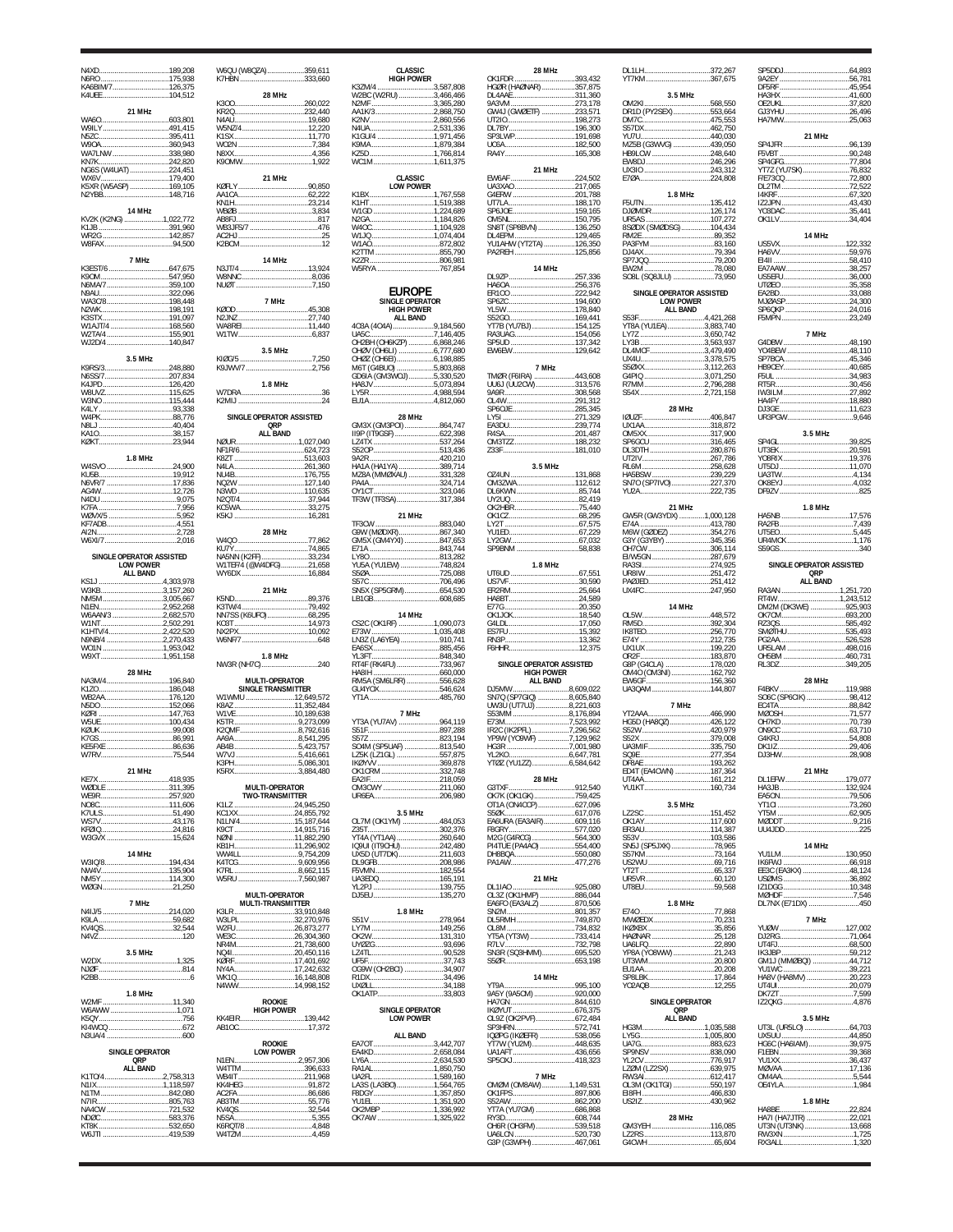|                                              | W6QU (W8QZA)                     |
|----------------------------------------------|----------------------------------|
|                                              |                                  |
|                                              | <b>28 MHz</b>                    |
| <b>21 MHz</b>                                | KR2Q                             |
|                                              | N4AU                             |
| W9ILY491,415                                 | W5NZ/4                           |
| W9OA360,943                                  |                                  |
|                                              | K90MW                            |
| NG6S (W4UAT) 224,451                         |                                  |
|                                              | 21 MHz                           |
|                                              |                                  |
| 14 MHz                                       | KN1H<br>WBØB                     |
| KV2K (K2NG) 1,022,772                        |                                  |
|                                              |                                  |
|                                              | K2BCM                            |
| 7 MHz                                        | 14 MHz                           |
|                                              |                                  |
| N6MA/7359,100                                | W8NNC<br>NUØT                    |
| N9AU322,096<br>WA3C/8198,448                 | 7 MHz                            |
| N2WK198,191                                  |                                  |
| K3STX191,097                                 | N2JNZ                            |
|                                              | W1TW                             |
| WJ2D/4 140,847                               | 3.5 MHz                          |
| 3.5 MHz                                      | KIØG/5                           |
|                                              | K9JWV/7                          |
|                                              | <b>1.8 MHz</b>                   |
|                                              | W7DRA<br>K2MIJ                   |
| W3NO 115,444                                 |                                  |
|                                              | <b>SINGLE OPERATOR AS</b><br>QRP |
|                                              | <b>ALL BAND</b>                  |
|                                              |                                  |
| 1.8 MHz                                      | K8ZT                             |
| W4SVO 24,900                                 | N4LA                             |
|                                              | NU4B<br>NQ2W                     |
|                                              | N3WD<br>N2QT/4                   |
|                                              |                                  |
|                                              |                                  |
|                                              | 28 MHz                           |
|                                              | KU7Y                             |
| SINGLE OPERATOR ASSISTED<br><b>LOW POWER</b> |                                  |
| <b>ALL BAND</b>                              |                                  |
| W3KB3,157,260                                | 21 MHz                           |
|                                              |                                  |
| NM5M3,005,667                                | K5ND                             |
|                                              | NN7SS (K6UFO)                    |
| W1NT2,502,291                                |                                  |
| K1HTV/42,422,520<br>N9NB/4 2,270,433         | NX2PX<br>W6NF/7                  |
|                                              |                                  |
| WO1N 1,953,042<br>W9XT 1,951,158             | 1.8 MHz<br>NW3R (NH7C)           |
| 28 MHz                                       | MULTI-OPERATO                    |
|                                              | <b>SINGLE TRANSMIT</b>           |
| WB2AA176,120                                 | W1WMU 1<br>K8AZ 1                |
|                                              | W1VE 1                           |
|                                              | K2QMF                            |
|                                              |                                  |
| KE5FXE 86,636                                | W7VJ                             |
| <b>21 MHz</b>                                |                                  |
|                                              |                                  |
|                                              | MULTI-OPERATO<br>TWO-TRANSMITT   |
|                                              |                                  |
|                                              | N1LN/41                          |
|                                              | K9CT1                            |
|                                              | NØNI 1<br>KB1H1                  |
| <b>14 MHz</b>                                |                                  |
| W3IQ/8194,434                                | K4TCG                            |
| NM5Y114,300                                  | W5RU                             |
|                                              | MULTI-OPERATO                    |
| 7 MHz                                        | MULTI-TRANSMIT                   |
|                                              | W3LPL 3                          |
|                                              | W2FU 2                           |
| 3.5 MHz                                      |                                  |
|                                              | KØRF1                            |
|                                              | NY4A1<br>WK101                   |
|                                              | N4WW1                            |
| 1.8 MHz                                      | <b>ROOKIE</b>                    |
|                                              | <b>HIGH POWER</b>                |
|                                              | KK4EIR<br>AB1OC                  |
|                                              | <b>ROOKIE</b>                    |
| <b>SINGLE OPERATOR</b>                       | <b>LOW POWER</b>                 |
| QRP<br><b>ALL BAND</b>                       | N1EN<br>W4TTM                    |
| K1TO/42,758,313                              | WB4IT                            |
|                                              | KK4HEG                           |
| NA4CW 721,532                                | AB3TM<br>KV4QS                   |
|                                              | K6RQT/8                          |

N4XD.

#### CLASSIC<br>HIGH POWI .359,611<br>.333,660 .<br>260,022<br>.232,440  $19,680$ <br>...12,220<br>...11,770<br>....7,384 K2NV....<br>N4UA.... K1GU/4<br>K9MA....<br>K25D.....<br>WC1M... 4,356<br>.1,922 CLASSIC<br>LOW POWI .90.850 K1BX..<br>K1HT..<br>W1GD  $.62, 222$ <br> $.23, 214$  $...3.834$  $.817$  $N2GA$  $...476$ W40C  $\frac{1}{25}$ W1AO...<br>K2TTM<br>K2ZR....  $\overline{12}$ .13,924 W5RYA...  $0.8,036$ <br> $0.7,150$ **EUROP** SINGLE OPER ..45,308<br>...27,740<br>...11,440<br>.....6,837  $7.250$  $2,756$  $\begin{array}{c} \dots 36 \\ \dots 24 \end{array}$ EU<sub>1A</sub> **TOR ASSISTED 28 MHz**  $GM3X (GM3POI)$ **UMSA (GMSPO)**<br>119P (IT9GSF)..<br>LZ4TX .............<br>S52OP .............  $...1.027.040$  $.624,723$ <br> $.513,603$  $9A2R$ ..313,003<br>..261,360<br>..176,755<br>..127,140 .. 127, 140<br>..110,635<br>....37,944<br>....33,275<br>....16,281 21 MHz **TE3CW** G9W (MØDXR)......<br>GM5X (GM4YXI)... ..77,862<br>..74,865<br>..33,234<br>..21,658<br>..16,884 .89,376<br>79.492 LB<sub>1GB</sub> .. /9,492<br>..68,295<br>..14,973<br>...10,092<br>........648 14 MHz  $0.240$ PERATOR YT3A (YU7AV)<br>SSTF<br>SSTF<br>SSTF<br>SO4M (SP5UAF)<br>LIKOYV<br>LIKOYV<br>LIKOYV<br>OKTCRM<br>ONTCRM<br>CA2IF<br>CA2IF<br>ONTCRM  $\begin{array}{l} \textbf{D} = \textbf{R} \textbf{ATOR} \\ \textbf{P} = \textbf{R} \textbf{ATOR} \\ \textbf{M} = \textbf{S} \textbf{ATOR} \\ \textbf{M} = \textbf{S} \textbf{A} \textbf{S} \textbf{S} \\ \textbf{M} = \textbf{S} \textbf{S} \textbf{S} \textbf{S} \textbf{S} \\ \textbf{M} = \textbf{S} \textbf{S} \textbf{S} \textbf{S} \textbf{S} \\ \textbf{M} = \textbf{S} \textbf{S} \textbf{S} \textbf{S} \\ \textbf{M} = \textbf$ 1.8 MHz SINGLE OPER UWER<br>................139,442<br>................17,372 **ALL BAND** OK2MBP....

| ER                                                                                                                                                                                                                                                                            | 28 MHz<br>OK1FDR                                                                                                                                                                         |
|-------------------------------------------------------------------------------------------------------------------------------------------------------------------------------------------------------------------------------------------------------------------------------|------------------------------------------------------------------------------------------------------------------------------------------------------------------------------------------|
|                                                                                                                                                                                                                                                                               | DL4AAE                                                                                                                                                                                   |
|                                                                                                                                                                                                                                                                               |                                                                                                                                                                                          |
|                                                                                                                                                                                                                                                                               |                                                                                                                                                                                          |
|                                                                                                                                                                                                                                                                               |                                                                                                                                                                                          |
|                                                                                                                                                                                                                                                                               |                                                                                                                                                                                          |
| ER<br>3,587,808<br>3,466,466<br>3,365,280<br>2,868,750<br>2,531,336<br>1,971,456<br>1,979,384<br>1,766,814<br>1,766,814<br>1,766,814                                                                                                                                          |                                                                                                                                                                                          |
|                                                                                                                                                                                                                                                                               | 21 MHz                                                                                                                                                                                   |
| ER                                                                                                                                                                                                                                                                            | EW6AF<br>UA3XAO                                                                                                                                                                          |
|                                                                                                                                                                                                                                                                               | G4ERW<br>UT7LA                                                                                                                                                                           |
|                                                                                                                                                                                                                                                                               | 976<br>SP6JOE<br>OMSNL<br>SN8T (SP8BVN)<br>DL4EPM<br>YU1AHW (YT2TA)<br>YU1AHW (YT2TA)                                                                                                    |
|                                                                                                                                                                                                                                                                               |                                                                                                                                                                                          |
|                                                                                                                                                                                                                                                                               |                                                                                                                                                                                          |
|                                                                                                                                                                                                                                                                               | PA2REH                                                                                                                                                                                   |
|                                                                                                                                                                                                                                                                               | 14 MHz                                                                                                                                                                                   |
|                                                                                                                                                                                                                                                                               | DL9ZP                                                                                                                                                                                    |
| Έ                                                                                                                                                                                                                                                                             | HA6OA<br>ER100                                                                                                                                                                           |
| ATOR                                                                                                                                                                                                                                                                          |                                                                                                                                                                                          |
| ER<br>J                                                                                                                                                                                                                                                                       |                                                                                                                                                                                          |
| )<br>9,184,560<br>7,146,405<br>6,868,246<br>6,198,885<br>5,803,868<br>5,330,520<br>5,073,894<br>4,988,594<br>4,988,594                                                                                                                                                        |                                                                                                                                                                                          |
|                                                                                                                                                                                                                                                                               | SP5UD                                                                                                                                                                                    |
|                                                                                                                                                                                                                                                                               | EW6EW                                                                                                                                                                                    |
|                                                                                                                                                                                                                                                                               | 7 MHz<br>TMØR (F6IRA)<br>(UU6J (UU2CW)                                                                                                                                                   |
|                                                                                                                                                                                                                                                                               |                                                                                                                                                                                          |
|                                                                                                                                                                                                                                                                               | OL4W                                                                                                                                                                                     |
|                                                                                                                                                                                                                                                                               |                                                                                                                                                                                          |
|                                                                                                                                                                                                                                                                               |                                                                                                                                                                                          |
|                                                                                                                                                                                                                                                                               |                                                                                                                                                                                          |
|                                                                                                                                                                                                                                                                               |                                                                                                                                                                                          |
| $\begin{array}{l} \ldots \ldots \ldots 864,747 \\ \ldots \ldots \ldots 622,398 \\ \ldots \ldots \ldots 537,264 \\ \ldots \ldots 420,210 \\ \ldots \ldots 334,328 \\ \ldots \ldots \ldots 331,328 \\ \ldots \ldots \ldots 323,046 \\ \ldots \ldots \ldots 317,384 \end{array}$ | 3.5 MHz                                                                                                                                                                                  |
|                                                                                                                                                                                                                                                                               | OZ4UN<br>OM3ZWA                                                                                                                                                                          |
|                                                                                                                                                                                                                                                                               | DL6KWN                                                                                                                                                                                   |
|                                                                                                                                                                                                                                                                               | UY2UQ<br>OK2HBR<br>OK1CZ                                                                                                                                                                 |
|                                                                                                                                                                                                                                                                               |                                                                                                                                                                                          |
|                                                                                                                                                                                                                                                                               |                                                                                                                                                                                          |
|                                                                                                                                                                                                                                                                               |                                                                                                                                                                                          |
|                                                                                                                                                                                                                                                                               |                                                                                                                                                                                          |
|                                                                                                                                                                                                                                                                               | 1.8 MHz                                                                                                                                                                                  |
|                                                                                                                                                                                                                                                                               |                                                                                                                                                                                          |
|                                                                                                                                                                                                                                                                               | ER2RM                                                                                                                                                                                    |
|                                                                                                                                                                                                                                                                               | HA8BT<br>E77G<br>OK1JOK                                                                                                                                                                  |
|                                                                                                                                                                                                                                                                               | G4LDL                                                                                                                                                                                    |
|                                                                                                                                                                                                                                                                               |                                                                                                                                                                                          |
|                                                                                                                                                                                                                                                                               |                                                                                                                                                                                          |
|                                                                                                                                                                                                                                                                               |                                                                                                                                                                                          |
|                                                                                                                                                                                                                                                                               | SINGLE OPERATOR<br>HIGH POWI<br>ALL BAND                                                                                                                                                 |
|                                                                                                                                                                                                                                                                               | ALL BANK<br>SN7Q (SP7GIQ)<br>UW3U (UT7UJ)<br>UW3U (UT7UJ)<br>SS3MM<br>SS3MM<br>FT3MM<br>PROV (YO9WF)<br>YL2KO<br>NEW (YO9WF)<br>YL2KO<br>NEW (YO9WF)<br>YL2KO<br>VL2KO<br>VL2KO<br>VL2KO |
|                                                                                                                                                                                                                                                                               |                                                                                                                                                                                          |
|                                                                                                                                                                                                                                                                               |                                                                                                                                                                                          |
| $\frac{964,119}{897,288}$<br>$\frac{823,194}{813,540}$<br>$\frac{813,540}{257,875}$                                                                                                                                                                                           |                                                                                                                                                                                          |
|                                                                                                                                                                                                                                                                               |                                                                                                                                                                                          |
|                                                                                                                                                                                                                                                                               |                                                                                                                                                                                          |
|                                                                                                                                                                                                                                                                               | YTØZ (YU1ZZ)                                                                                                                                                                             |
|                                                                                                                                                                                                                                                                               | 28 MHz                                                                                                                                                                                   |
|                                                                                                                                                                                                                                                                               |                                                                                                                                                                                          |
|                                                                                                                                                                                                                                                                               | G3TXF<br>OK7K (OK1GK)<br>OT1A (ON4CCP)                                                                                                                                                   |
| $\begin{array}{l} \dots 484,053 \\ \dots 302,376 \\ \dots 260,640 \\ \dots 242,480 \\ \dots 211,603 \\ \dots 208,986 \\ \dots 182,554 \\ \dots 165,191 \\ \dots 165,191 \\ \dots \end{array}$                                                                                 | S5ØK.<br>S50K<br>EA6URA (EA3AIR)                                                                                                                                                         |
|                                                                                                                                                                                                                                                                               | FBGRY<br>M2G (G4RCG)                                                                                                                                                                     |
|                                                                                                                                                                                                                                                                               | PI4TUE (PA4AO)                                                                                                                                                                           |
|                                                                                                                                                                                                                                                                               | DH8BQA<br>PA1AW                                                                                                                                                                          |
|                                                                                                                                                                                                                                                                               |                                                                                                                                                                                          |
|                                                                                                                                                                                                                                                                               | 21 MHz                                                                                                                                                                                   |
|                                                                                                                                                                                                                                                                               |                                                                                                                                                                                          |
|                                                                                                                                                                                                                                                                               |                                                                                                                                                                                          |
|                                                                                                                                                                                                                                                                               | DL5RMH                                                                                                                                                                                   |
|                                                                                                                                                                                                                                                                               | OL8M<br>YT5A (YT3W)                                                                                                                                                                      |
|                                                                                                                                                                                                                                                                               | SN3R (SQ3HMM)                                                                                                                                                                            |
|                                                                                                                                                                                                                                                                               | S50R                                                                                                                                                                                     |
|                                                                                                                                                                                                                                                                               | 14 MHz                                                                                                                                                                                   |
|                                                                                                                                                                                                                                                                               |                                                                                                                                                                                          |
| ATOR                                                                                                                                                                                                                                                                          | HA7GN<br>IKØYUT                                                                                                                                                                          |
| ΞR                                                                                                                                                                                                                                                                            | OL9Z (OK2PVF)                                                                                                                                                                            |
| J                                                                                                                                                                                                                                                                             |                                                                                                                                                                                          |
|                                                                                                                                                                                                                                                                               |                                                                                                                                                                                          |
|                                                                                                                                                                                                                                                                               | SP50XJ                                                                                                                                                                                   |
| )<br>3,442,707<br>2,658,084<br>2,634,530<br>1,850,750<br>1,564,765<br>1,357,850<br>1,351,920<br>1,336,992<br>1,325,922                                                                                                                                                        | 7 MHz                                                                                                                                                                                    |
|                                                                                                                                                                                                                                                                               | OMØM (OM8AW)                                                                                                                                                                             |
|                                                                                                                                                                                                                                                                               |                                                                                                                                                                                          |
|                                                                                                                                                                                                                                                                               | S52AW<br>YT7A (YU7GM)                                                                                                                                                                    |
|                                                                                                                                                                                                                                                                               | RY3D.<br>                                                                                                                                                                                |
|                                                                                                                                                                                                                                                                               |                                                                                                                                                                                          |
|                                                                                                                                                                                                                                                                               | G3P (G3WPH)                                                                                                                                                                              |

| 28 MHz<br>393,432                                  | YT7KM 367.675                                                                                                                                                                                                                                                                          |  |
|----------------------------------------------------|----------------------------------------------------------------------------------------------------------------------------------------------------------------------------------------------------------------------------------------------------------------------------------------|--|
| AR) 357,875                                        |                                                                                                                                                                                                                                                                                        |  |
| __ <sup>__</sup> _______________311,360<br>273,178 | 3.5 MHz<br>OM2KI<br>568,550                                                                                                                                                                                                                                                            |  |
| TF) 233,571                                        |                                                                                                                                                                                                                                                                                        |  |
|                                                    |                                                                                                                                                                                                                                                                                        |  |
|                                                    |                                                                                                                                                                                                                                                                                        |  |
|                                                    | HB9LCW 248,640                                                                                                                                                                                                                                                                         |  |
|                                                    |                                                                                                                                                                                                                                                                                        |  |
| 21 MHz<br>224,502                                  | UX3IO<br>E70A 243,312<br>E70A 224,808                                                                                                                                                                                                                                                  |  |
| 217,065<br>201,788                                 | 1.8 MHz                                                                                                                                                                                                                                                                                |  |
|                                                    |                                                                                                                                                                                                                                                                                        |  |
|                                                    | DJØMDR126,174                                                                                                                                                                                                                                                                          |  |
| N) 136,250                                         |                                                                                                                                                                                                                                                                                        |  |
|                                                    |                                                                                                                                                                                                                                                                                        |  |
|                                                    |                                                                                                                                                                                                                                                                                        |  |
| <b>14 MHz</b>                                      |                                                                                                                                                                                                                                                                                        |  |
|                                                    | SO8L (SQ8JLU) 73,950                                                                                                                                                                                                                                                                   |  |
|                                                    | SINGLE OPERATOR ASSISTED<br><b>LOW POWER</b>                                                                                                                                                                                                                                           |  |
|                                                    | <b>ALL BAND</b>                                                                                                                                                                                                                                                                        |  |
|                                                    | 4,421,268<br>S53F                                                                                                                                                                                                                                                                      |  |
|                                                    |                                                                                                                                                                                                                                                                                        |  |
|                                                    |                                                                                                                                                                                                                                                                                        |  |
|                                                    |                                                                                                                                                                                                                                                                                        |  |
| 7 MHz<br>)443,608                                  | S50XX3,112,263<br>G4PIQ 3,071,250                                                                                                                                                                                                                                                      |  |
| (2,576 313,576                                     |                                                                                                                                                                                                                                                                                        |  |
|                                                    |                                                                                                                                                                                                                                                                                        |  |
|                                                    |                                                                                                                                                                                                                                                                                        |  |
|                                                    |                                                                                                                                                                                                                                                                                        |  |
|                                                    | SP6GCU316,465                                                                                                                                                                                                                                                                          |  |
|                                                    | DL3DTH 280,876                                                                                                                                                                                                                                                                         |  |
| 3.5 MHz                                            |                                                                                                                                                                                                                                                                                        |  |
| 131,868                                            |                                                                                                                                                                                                                                                                                        |  |
| 112,612                                            |                                                                                                                                                                                                                                                                                        |  |
|                                                    |                                                                                                                                                                                                                                                                                        |  |
|                                                    | 21 MHz<br>GW5R (GW3YDX) 1,000,128                                                                                                                                                                                                                                                      |  |
| $67,575$<br>$67,229$                               |                                                                                                                                                                                                                                                                                        |  |
|                                                    | M6W (GØDEZ)<br>M6W (GØDEZ)<br>G3Y (G3YBY) 345,356<br>OH7CW 306,114                                                                                                                                                                                                                     |  |
| 58,838                                             | EI/W5GN287,679                                                                                                                                                                                                                                                                         |  |
| 1.8 MHz                                            |                                                                                                                                                                                                                                                                                        |  |
| 67,551<br>30,590                                   |                                                                                                                                                                                                                                                                                        |  |
|                                                    |                                                                                                                                                                                                                                                                                        |  |
|                                                    | 14 MHz                                                                                                                                                                                                                                                                                 |  |
|                                                    |                                                                                                                                                                                                                                                                                        |  |
|                                                    | IK8TEO256,770                                                                                                                                                                                                                                                                          |  |
| 12,375                                             |                                                                                                                                                                                                                                                                                        |  |
|                                                    |                                                                                                                                                                                                                                                                                        |  |
| <b>PERATOR ASSISTED</b><br>IGH POWER               |                                                                                                                                                                                                                                                                                        |  |
| ALL BAND                                           | 1971<br>197220<br>197220<br>197220<br>197220<br>19726<br>1980<br>198020<br>198020<br>198020<br>198020<br>198030<br>198030<br>198030<br>198030<br>198030<br>198030<br>198030<br>198030<br>198030<br>198030<br>198030<br>198030<br>198030<br>198030<br>198030<br>198030<br>198030<br>198 |  |
|                                                    |                                                                                                                                                                                                                                                                                        |  |
|                                                    |                                                                                                                                                                                                                                                                                        |  |
|                                                    | HG5D (HA8QZ)426,122                                                                                                                                                                                                                                                                    |  |
|                                                    |                                                                                                                                                                                                                                                                                        |  |
| . 6 .                                              | UA3MIF 335,750<br>509F                                                                                                                                                                                                                                                                 |  |
| ŏ                                                  |                                                                                                                                                                                                                                                                                        |  |
| 28 MHz                                             | ED4T (EA4CWN) 187,364                                                                                                                                                                                                                                                                  |  |
|                                                    | YU1KT160,734                                                                                                                                                                                                                                                                           |  |
| P)627,096                                          | 3.5 MHz                                                                                                                                                                                                                                                                                |  |
| AIR)609,116                                        |                                                                                                                                                                                                                                                                                        |  |
| 577,020                                            |                                                                                                                                                                                                                                                                                        |  |
| (0) 554,400                                        |                                                                                                                                                                                                                                                                                        |  |
| $550,080$<br>$477,276$                             |                                                                                                                                                                                                                                                                                        |  |
|                                                    |                                                                                                                                                                                                                                                                                        |  |
| 21 MHz<br>925,080                                  |                                                                                                                                                                                                                                                                                        |  |
| 1P) 886,044                                        |                                                                                                                                                                                                                                                                                        |  |
| .Z) 870,506                                        | 1.8 MHz<br>E740.                                                                                                                                                                                                                                                                       |  |
|                                                    | MWØEDX 70,231                                                                                                                                                                                                                                                                          |  |
|                                                    |                                                                                                                                                                                                                                                                                        |  |
|                                                    |                                                                                                                                                                                                                                                                                        |  |
| AM)695,520                                         | YP8A (YO8WW) 21,243                                                                                                                                                                                                                                                                    |  |
| 14 MHz                                             |                                                                                                                                                                                                                                                                                        |  |
| 995,100                                            |                                                                                                                                                                                                                                                                                        |  |
| ) 920,000                                          | <b>SINGLE OPERATOR</b>                                                                                                                                                                                                                                                                 |  |
|                                                    | QRP                                                                                                                                                                                                                                                                                    |  |
| F)672,484                                          | <b>ALL BAND</b><br>HG3M1,035,588                                                                                                                                                                                                                                                       |  |
|                                                    |                                                                                                                                                                                                                                                                                        |  |
|                                                    | SP9NSV 838,090                                                                                                                                                                                                                                                                         |  |
|                                                    | YL2CV776,917                                                                                                                                                                                                                                                                           |  |
| 7 MHz                                              |                                                                                                                                                                                                                                                                                        |  |
| W)1,149,531                                        | OL3M (OK1TGI) 550,197                                                                                                                                                                                                                                                                  |  |
|                                                    |                                                                                                                                                                                                                                                                                        |  |
| 1) 686,868                                         | 28 MHz                                                                                                                                                                                                                                                                                 |  |
| 1)539,518                                          | GM3YEH 116,085                                                                                                                                                                                                                                                                         |  |
| 520,730<br>467,061                                 | LZ2RS113,870                                                                                                                                                                                                                                                                           |  |
|                                                    |                                                                                                                                                                                                                                                                                        |  |

| <b>14 MHz</b><br>US5VX122,332   |  |
|---------------------------------|--|
|                                 |  |
| US5EFU36,000                    |  |
|                                 |  |
|                                 |  |
| 7 MHz                           |  |
|                                 |  |
|                                 |  |
|                                 |  |
| F5UL 34,983<br>RT5R 30,456      |  |
|                                 |  |
|                                 |  |
|                                 |  |
| 3.5 MHz                         |  |
|                                 |  |
|                                 |  |
|                                 |  |
|                                 |  |
| 1.8 MHz                         |  |
| HA5NB 17,576                    |  |
|                                 |  |
|                                 |  |
| SINGLE OPERATOR ASSISTED<br>QRP |  |
| <b>ALL BAND</b>                 |  |
|                                 |  |
|                                 |  |
|                                 |  |
|                                 |  |
| SMØTHU535,493                   |  |
|                                 |  |
|                                 |  |
| 28 MHz<br>F4BKV<br>119,988      |  |
|                                 |  |
|                                 |  |
|                                 |  |
|                                 |  |
|                                 |  |
| 21 MHz<br>DL1EFW 179,077        |  |
| HA3JB132,924                    |  |
|                                 |  |
|                                 |  |
|                                 |  |
| 14 MHz<br>YU1LM130,950          |  |
|                                 |  |
| USØMS 36,892                    |  |
|                                 |  |
|                                 |  |
| 7 MHz                           |  |
|                                 |  |
|                                 |  |
|                                 |  |
|                                 |  |
|                                 |  |
| 3.5 MHz                         |  |
|                                 |  |
|                                 |  |
|                                 |  |
|                                 |  |
| 1.8 MHz                         |  |
|                                 |  |
|                                 |  |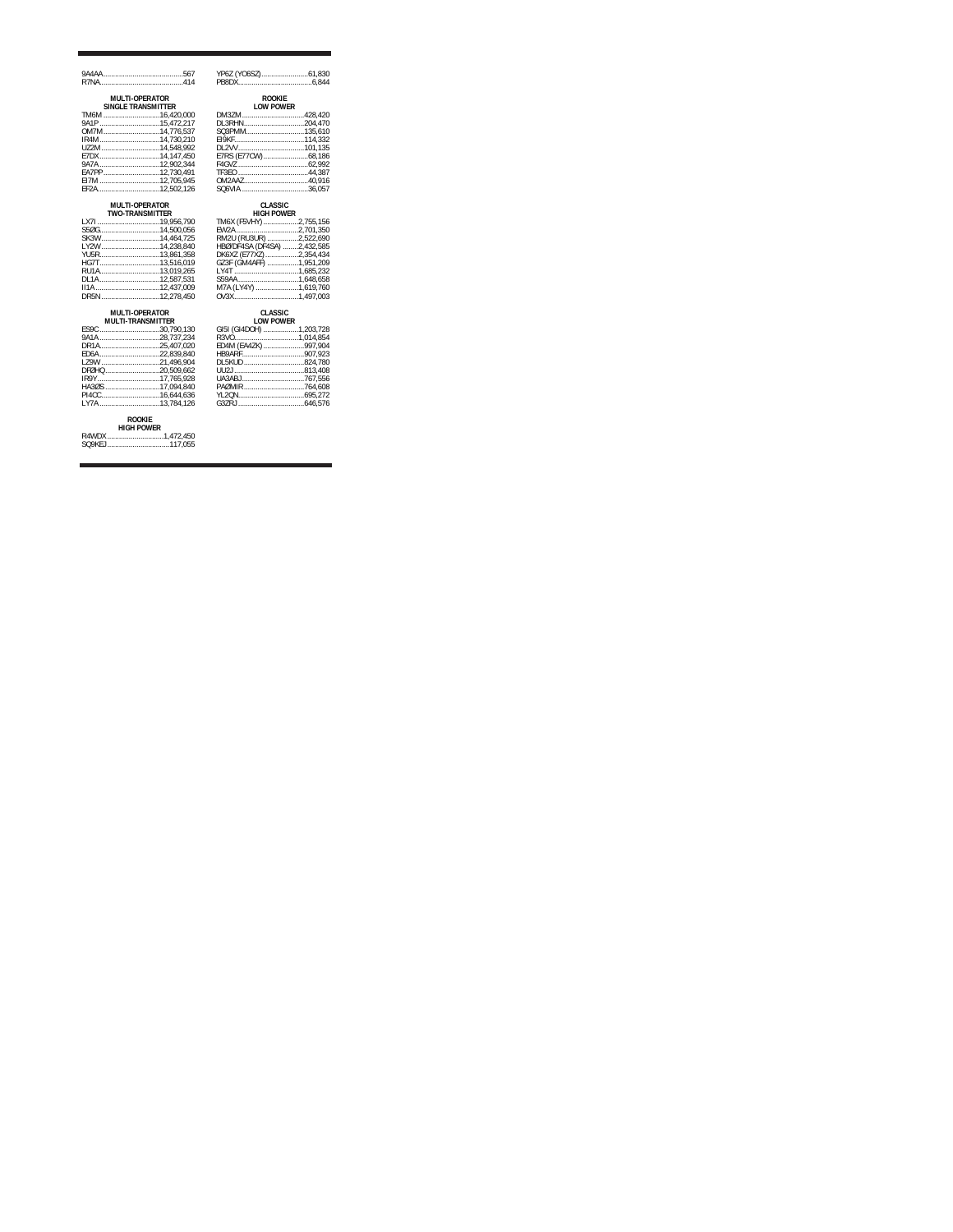| <b>MULTI-OPERATOR</b>     | <b>ROOKIE</b>               |  |
|---------------------------|-----------------------------|--|
| <b>SINGLE TRANSMITTER</b> | <b>LOW POWER</b>            |  |
| TM6M 16,420.000           |                             |  |
|                           | DL3RHN204.470               |  |
| OM7M14,776,537            | SQ3PMM135,610               |  |
| IR4M14.730.210            |                             |  |
| UZ2M14,548,992            |                             |  |
| E7DX 14,147,450           |                             |  |
| 9A7A12,902,344            |                             |  |
| EA7PP12,730,491           |                             |  |
| EI7M 12.705.945           |                             |  |
| EF2A12,502,126            | SQ6VIA 36.057               |  |
| MULTI-OPERATOR            | <b>CLASSIC</b>              |  |
| <b>TWO-TRANSMITTER</b>    | <b>HIGH POWER</b>           |  |
| LX7I 19,956,790           | TM6X (F5VHY) 2,755,156      |  |
| S50G14,500,056            |                             |  |
| SK3W14,464,725            | RM2U (RU3UR) 2,522,690      |  |
| LY2W14.238.840            | HBØ/DF4SA (DF4SA) 2,432,585 |  |
| YU5R13,861,358            | DK6XZ (E77XZ) 2,354,434     |  |
| HG7T13,516,019            | GZ3F (GM4AFF) 1,951,209     |  |
| RU1A13,019,265            |                             |  |
| DL1A12,587,531            |                             |  |
|                           | M7A (LY4Y) 1,619,760        |  |
|                           |                             |  |

| <b>HIGH POWER</b>           |  |
|-----------------------------|--|
| TM6X (F5VHY) 2,755,156      |  |
| EW2A2.701.350               |  |
| RM2U (RU3UR) 2,522,690      |  |
| HBØ/DF4SA (DF4SA) 2,432,585 |  |
| DK6XZ (E77XZ) 2.354.434     |  |
| GZ3F (GM4AFF) 1.951.209     |  |
| LY4T 1.685.232              |  |
| S59AA1.648.658              |  |
| M7A (LY4Y) 1.619.760        |  |
| OV3X1.497.003               |  |
|                             |  |

# DR5N ..............................12,278,450 MULTI-TOPERATOR<br>
MULTI-TRANSMITTER<br>
98,13, 29,737,234<br>
98,13, 29,737,234<br>
98,14, 29,737,234<br>
98,13, 22,839,840<br>
98,21,279<br>
20,509,662<br>
17,094,840<br>
HA30S<br>
17,094,840<br>
LY7A<br>
17,094,840<br>
20,509,862<br>
20,509,862<br>
20,509,862<br>
20

| <b>CLASSIC</b><br><b>LOW POWER</b> |  |
|------------------------------------|--|
| GI5I (GI4DOH) 1.203.728            |  |
| R3VO1.014.854                      |  |
| ED4M (EA4ZK) 997,904               |  |
|                                    |  |
| DL5KUD 824.780                     |  |
|                                    |  |
| UA3ABJ767.556                      |  |
| PAØMIR 764.608                     |  |
|                                    |  |
|                                    |  |
|                                    |  |

**ROOKIE<br>HIGH POWER**<br>R4WDX ..................................1,472,450<br>SQ9KEJ ..................................117,055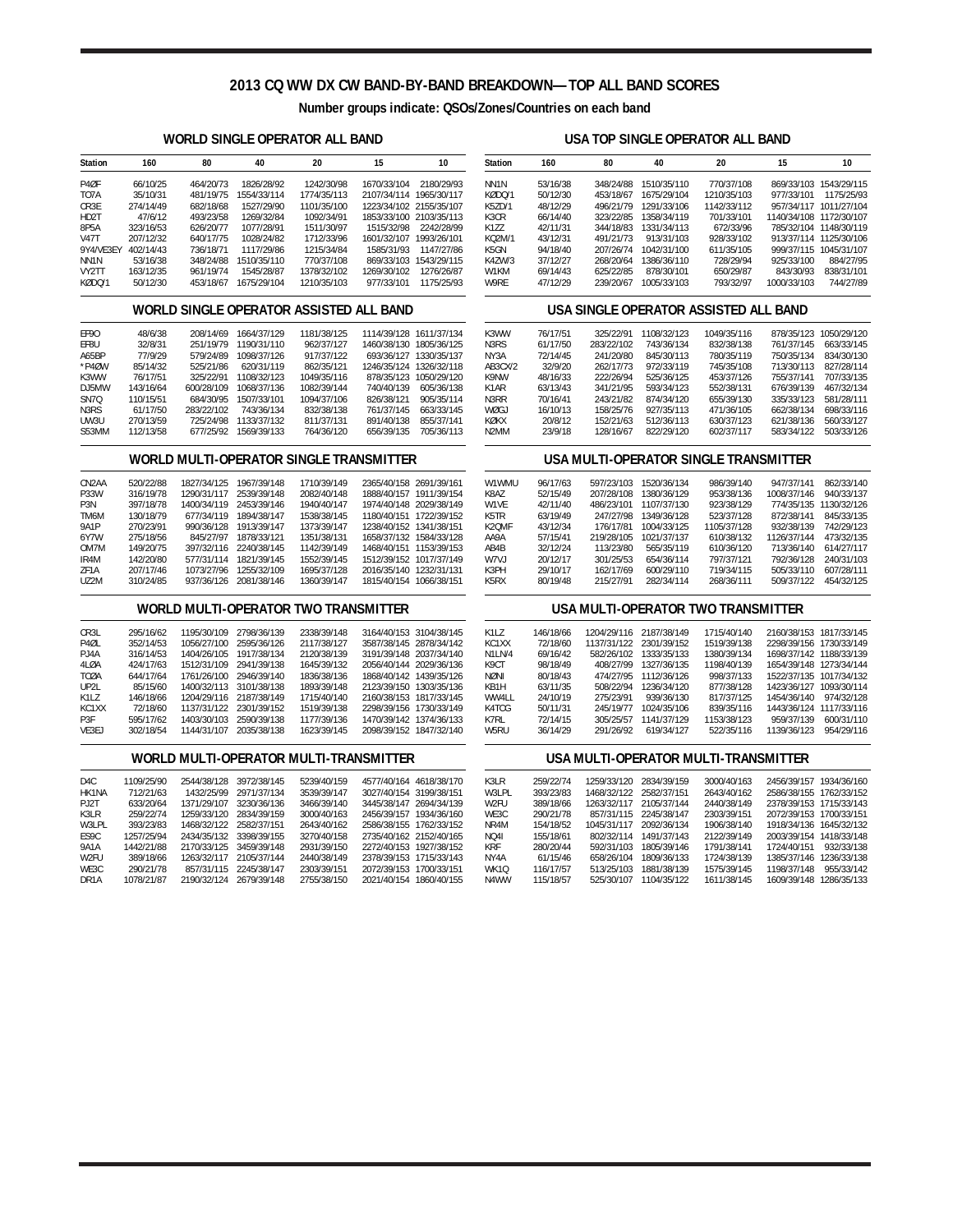## **2013 CQ WW DX CW BAND-BY-BAND BREAKDOWN—TOP ALL BAND SCORES**

**Number groups indicate: QSOs/Zones/Countries on each band**

#### **WORLD SINGLE OPERATOR ALL BAND**

#### **USA TOP SINGLE OPERATOR ALL BAND**

| <b>Station</b>                          | 160                    | 80                     | 40                                                 | 20                                   | 15                                                 | 10                                                 | Station                        | 160                                   | 80                     | 40                                             | 20                                 | 15                       | 10                       |
|-----------------------------------------|------------------------|------------------------|----------------------------------------------------|--------------------------------------|----------------------------------------------------|----------------------------------------------------|--------------------------------|---------------------------------------|------------------------|------------------------------------------------|------------------------------------|--------------------------|--------------------------|
| P <sub>4</sub> ØF                       | 66/10/25               | 464/20/73              | 1826/28/92                                         | 1242/30/98                           |                                                    | 1670/33/104 2180/29/93                             | NN <sub>1</sub> N              | 53/16/38                              |                        | 348/24/88 1510/35/110                          | 770/37/108                         |                          | 869/33/103 1543/29/115   |
| TO7A                                    | 35/10/31               | 481/19/75              | 1554/33/114                                        | 1774/35/113                          | 2107/34/114 1965/30/117                            |                                                    | KØDQ/1                         | 50/12/30                              | 453/18/67              | 1675/29/104                                    | 1210/35/103                        | 977/33/101               | 1175/25/93               |
| CR3E                                    | 274/14/49              | 682/18/68              | 1527/29/90                                         | 1101/35/100                          | 1223/34/102 2155/35/107                            |                                                    | K5ZD/1                         | 48/12/29                              |                        | 496/21/79 1291/33/106                          | 1142/33/112                        |                          | 957/34/117 1011/27/104   |
| HD <sub>2</sub> T                       | 47/6/12                | 493/23/58              | 1269/32/84                                         | 1092/34/91                           | 1853/33/100 2103/35/113                            |                                                    | K3CR                           | 66/14/40                              |                        | 323/22/85 1358/34/119                          | 701/33/101                         | 1140/34/108 1172/30/107  |                          |
| 8P5A                                    | 323/16/53              | 626/20/77              | 1077/28/91                                         | 1511/30/97                           | 1515/32/98                                         | 2242/28/99                                         | K1ZZ                           | 42/11/31                              | 344/18/83              | 1331/34/113                                    | 672/33/96                          |                          | 785/32/104 1148/30/119   |
| <b>V47T</b>                             | 207/12/32              | 640/17/75              | 1028/24/82                                         | 1712/33/96                           |                                                    | 1601/32/107 1993/26/101                            | KQ2M/1                         | 43/12/31                              | 491/21/73              | 913/31/103                                     | 928/33/102                         |                          | 913/37/114 1125/30/106   |
|                                         | 9Y4/VE3EY 402/14/43    | 736/18/71              | 1117/29/86                                         | 1215/34/84                           |                                                    | 1585/31/93 1147/27/86                              | K5GN                           | 94/18/40                              |                        | 207/26/74 1042/31/100                          | 611/35/105                         |                          | 999/37/115 1045/31/107   |
| NN <sub>1</sub> N<br>VY2TT              | 53/16/38<br>163/12/35  | 348/24/88<br>961/19/74 | 1510/35/110<br>1545/28/87                          | 770/37/108<br>1378/32/102            |                                                    | 869/33/103 1543/29/115<br>1269/30/102 1276/26/87   | K4ZW/3<br>W1KM                 | 37/12/27<br>69/14/43                  | 625/22/85              | 268/20/64 1386/36/110<br>878/30/101            | 728/29/94<br>650/29/87             | 925/33/100<br>843/30/93  | 884/27/95<br>838/31/101  |
| KØDQ/1                                  | 50/12/30               |                        | 453/18/67 1675/29/104                              | 1210/35/103                          |                                                    | 977/33/101 1175/25/93                              | W9RE                           | 47/12/29                              |                        | 239/20/67 1005/33/103                          | 793/32/97                          | 1000/33/103              | 744/27/89                |
| WORLD SINGLE OPERATOR ASSISTED ALL BAND |                        |                        |                                                    |                                      |                                                    |                                                    |                                | USA SINGLE OPERATOR ASSISTED ALL BAND |                        |                                                |                                    |                          |                          |
| EF90                                    | 48/6/38                |                        | 208/14/69 1664/37/129                              | 1181/38/125                          |                                                    | 1114/39/128 1611/37/134                            | K3WW                           | 76/17/51                              |                        | 325/22/91 1108/32/123                          | 1049/35/116                        |                          | 878/35/123 1050/29/120   |
| EF8U                                    | 32/8/31                | 251/19/79              | 1190/31/110                                        | 962/37/127                           |                                                    | 1460/38/130 1805/36/125                            | N3RS                           | 61/17/50                              | 283/22/102             | 743/36/134                                     | 832/38/138                         | 761/37/145               | 663/33/145               |
| A65BP                                   | 77/9/29                | 579/24/89              | 1098/37/126                                        | 917/37/122                           |                                                    | 693/36/127 1330/35/137                             | NY3A                           | 72/14/45                              | 241/20/80              | 845/30/113                                     | 780/35/119                         | 750/35/134               | 834/30/130               |
| *P4ØW                                   | 85/14/32               | 525/21/86              | 620/31/119                                         | 862/35/121                           | 1246/35/124 1326/32/118                            |                                                    | AB3CX/2                        | 32/9/20                               | 262/17/73              | 972/33/119                                     | 745/35/108                         | 713/30/113               | 827/28/114               |
| K3WW                                    | 76/17/51               | 325/22/91              | 1108/32/123                                        | 1049/35/116                          |                                                    | 878/35/123 1050/29/120                             | K9NW                           | 48/16/33                              | 222/26/94              | 525/36/125                                     | 453/37/126                         | 755/37/141               | 707/33/135               |
| DJ5MW                                   | 143/16/64              | 600/28/109             | 1068/37/136                                        | 1082/39/144                          | 740/40/139                                         | 605/36/138                                         | K <sub>1</sub> AR              | 63/13/43                              | 341/21/95              | 593/34/123                                     | 552/38/131                         | 676/39/139               | 467/32/134               |
| SN <sub>70</sub>                        | 110/15/51              |                        | 684/30/95 1507/33/101                              | 1094/37/106                          | 826/38/121                                         | 905/35/114                                         | N3RR                           | 70/16/41                              | 243/21/82              | 874/34/120                                     | 655/39/130                         | 335/33/123               | 581/28/111               |
| N3RS                                    | 61/17/50               | 283/22/102             | 743/36/134                                         | 832/38/138                           | 761/37/145                                         | 663/33/145                                         | WØGJ                           | 16/10/13                              | 158/25/76              | 927/35/113                                     | 471/36/105                         | 662/38/134               | 698/33/116               |
| UW3U                                    | 270/13/59              |                        | 725/24/98 1133/37/132                              | 811/37/131                           | 891/40/138                                         | 855/37/141                                         | KØKX                           | 20/8/12                               | 152/21/63              | 512/36/113                                     | 630/37/123                         | 621/38/136               | 560/33/127               |
| S53MM                                   | 112/13/58              |                        | 677/25/92 1569/39/133                              | 764/36/120                           | 656/39/135                                         | 705/36/113                                         | N2MM                           | 23/9/18                               | 128/16/67              | 822/29/120                                     | 602/37/117                         | 583/34/122               | 503/33/126               |
| WORLD MULTI-OPERATOR SINGLE TRANSMITTER |                        |                        |                                                    |                                      |                                                    |                                                    |                                | USA MULTI-OPERATOR SINGLE TRANSMITTER |                        |                                                |                                    |                          |                          |
| CN <sub>2</sub> AA                      | 520/22/88              |                        | 1827/34/125 1967/39/148                            | 1710/39/149                          | 2365/40/158 2691/39/161                            |                                                    | W1WMU                          | 96/17/63                              |                        | 597/23/103 1520/36/134                         | 986/39/140                         | 947/37/141               | 862/33/140               |
| <b>P33W</b>                             | 316/19/78              |                        | 1290/31/117 2539/39/148                            | 2082/40/148                          |                                                    | 1888/40/157 1911/39/154                            | K8AZ                           | 52/15/49                              |                        | 207/28/108 1380/36/129                         | 953/38/136                         | 1008/37/146              | 940/33/137               |
| P3N                                     | 397/18/78              |                        | 1400/34/119 2453/39/146                            | 1940/40/147                          |                                                    | 1974/40/148 2029/38/149                            | W1VE                           | 42/11/40                              |                        | 486/23/101 1107/37/130                         | 923/38/129                         |                          | 774/35/135 1130/32/126   |
| TM6M                                    | 130/18/79              | 677/34/119             | 1894/38/147                                        | 1538/38/145                          |                                                    | 1180/40/151 1722/39/152                            | K5TR                           | 63/19/49                              |                        | 247/27/98 1349/36/128                          | 523/37/128                         | 872/38/141               | 845/33/135               |
| <b>9A1P</b>                             | 270/23/91              | 990/36/128             | 1913/39/147                                        | 1373/39/147                          | 1238/40/152 1341/38/151                            |                                                    | K20MF                          | 43/12/34                              | 176/17/81              | 1004/33/125                                    | 1105/37/128                        | 932/38/139               | 742/29/123               |
| 6Y7W                                    | 275/18/56              |                        | 845/27/97 1878/33/121                              | 1351/38/131                          |                                                    | 1658/37/132 1584/33/128                            | AA9A                           | 57/15/41                              | 219/28/105             | 1021/37/137                                    | 610/38/132                         | 1126/37/144              | 473/32/135               |
| OM7M                                    | 149/20/75              |                        | 397/32/116 2240/38/145                             | 1142/39/149                          |                                                    | 1468/40/151 1153/39/153                            | AB4B                           | 32/12/24                              | 113/23/80              | 565/35/119                                     | 610/36/120                         | 713/36/140               | 614/27/117               |
| IR4M<br>ZF1A                            | 142/20/80<br>207/17/46 |                        | 577/31/114 1821/39/145<br>1073/27/96 1255/32/109   | 1552/39/145<br>1695/37/128           | 1512/39/152 1017/37/149<br>2016/35/140 1232/31/131 |                                                    | W7VJ<br>K3PH                   | 20/12/17<br>29/10/17                  | 301/25/53<br>162/17/69 | 654/36/114<br>600/29/110                       | 797/37/121<br>719/34/115           | 792/36/128<br>505/33/110 | 240/31/103<br>607/28/111 |
| UZ2M                                    | 310/24/85              |                        | 937/36/126 2081/38/146                             | 1360/39/147                          | 1815/40/154 1066/38/151                            |                                                    | K5RX                           | 80/19/48                              | 215/27/91              | 282/34/114                                     | 268/36/111                         |                          | 509/37/122 454/32/125    |
|                                         |                        |                        |                                                    |                                      |                                                    |                                                    |                                |                                       |                        |                                                |                                    |                          |                          |
|                                         |                        |                        |                                                    | WORLD MULTI-OPERATOR TWO TRANSMITTER |                                                    |                                                    |                                |                                       |                        |                                                | USA MULTI-OPERATOR TWO TRANSMITTER |                          |                          |
| CR3L                                    | 295/16/62              |                        | 1195/30/109 2798/36/139                            | 2338/39/148                          |                                                    | 3164/40/153 3104/38/145                            | K <sub>1</sub> L <sub>Z</sub>  | 146/18/66                             |                        | 1204/29/116 2187/38/149                        | 1715/40/140                        |                          | 2160/38/153 1817/33/145  |
| P <sub>40</sub> L                       | 352/14/53              | 1056/27/100            | 2595/36/126                                        | 2117/38/127                          |                                                    | 3587/38/145 2878/34/142                            | KC <sub>1</sub> X <sub>X</sub> | 72/18/60                              | 1137/31/122            | 2301/39/152                                    | 1519/39/138                        |                          | 2298/39/156 1730/33/149  |
| PJ4A                                    | 316/14/53              | 1404/26/105            | 1917/38/134                                        | 2120/38/139                          |                                                    | 3191/39/148 2037/34/140                            | N1LN/4                         | 69/16/42                              | 582/26/102             | 1333/35/133                                    | 1380/39/134                        | 1698/37/142 1188/33/139  |                          |
| 4LØA                                    | 424/17/63              | 1512/31/109            | 2941/39/138                                        | 1645/39/132                          |                                                    | 2056/40/144 2029/36/136                            | K9CT                           | 98/18/49                              | 408/27/99              | 1327/36/135                                    | 1198/40/139                        | 1654/39/148 1273/34/144  |                          |
| <b>TCØA</b><br>UP2L                     | 644/17/64<br>85/15/60  |                        | 1761/26/100 2946/39/140<br>1400/32/113 3101/38/138 | 1836/38/136<br>1893/39/148           |                                                    | 1868/40/142 1439/35/126                            | <b>NØNI</b><br>KB1H            | 80/18/43<br>63/11/35                  |                        | 474/27/95 1112/36/126<br>508/22/94 1236/34/120 | 998/37/133<br>877/38/128           | 1522/37/135 1017/34/132  |                          |
| K <sub>1</sub> L <sub>Z</sub>           | 146/18/66              |                        | 1204/29/116 2187/38/149                            | 1715/40/140                          |                                                    | 2123/39/150 1303/35/136<br>2160/38/153 1817/33/145 | WW4LL                          | 24/10/19                              | 275/23/91              | 939/36/130                                     | 817/37/125                         | 1423/36/127 1093/30/114  | 1454/36/140 974/32/128   |
| KC1XX                                   | 72/18/60               | 1137/31/122            | 2301/39/152                                        | 1519/39/138                          |                                                    | 2298/39/156 1730/33/149                            | K4TCG                          | 50/11/31                              |                        | 245/19/77 1024/35/106                          | 839/35/116                         |                          | 1443/36/124 1117/33/116  |
| P3F                                     | 595/17/62              | 1403/30/103            | 2590/39/138                                        | 1177/39/136                          |                                                    | 1470/39/142 1374/36/133                            | K7RL                           | 72/14/15                              | 305/25/57              | 1141/37/129                                    | 1153/38/123                        | 959/37/139               | 600/31/110               |
| VE3EJ                                   | 302/18/54              |                        | 1144/31/107 2035/38/138                            | 1623/39/145                          |                                                    | 2098/39/152 1847/32/140                            | W5RU                           | 36/14/29                              | 291/26/92              | 619/34/127                                     | 522/35/116                         | 1139/36/123 954/29/116   |                          |
| WORLD MULTI-OPERATOR MULTI-TRANSMITTER  |                        |                        |                                                    |                                      |                                                    |                                                    |                                | USA MULTI-OPERATOR MULTI-TRANSMITTER  |                        |                                                |                                    |                          |                          |
| D <sub>4</sub> C                        | 1109/25/90             |                        | 2544/38/128 3972/38/145                            | 5239/40/159                          |                                                    | 4577/40/164 4618/38/170                            | K3LR                           | 259/22/74                             |                        | 1259/33/120 2834/39/159                        | 3000/40/163                        |                          | 2456/39/157 1934/36/160  |
| HK1NA                                   | 712/21/63              | 1432/25/99             | 2971/37/134                                        | 3539/39/147                          | 3027/40/154 3199/38/151                            |                                                    | W3LPL                          | 393/23/83                             | 1468/32/122            | 2582/37/151                                    | 2643/40/162                        | 2586/38/155 1762/33/152  |                          |
| PJ2T                                    | 633/20/64              | 1371/29/107            | 3230/36/136                                        | 3466/39/140                          |                                                    | 3445/38/147 2694/34/139                            | W2FU                           | 389/18/66                             | 1263/32/117            | 2105/37/144                                    | 2440/38/149                        |                          | 2378/39/153 1715/33/143  |
| K3LR                                    | 259/22/74              | 1259/33/120            | 2834/39/159                                        | 3000/40/163                          |                                                    | 2456/39/157 1934/36/160                            | WE3C                           | 290/21/78                             |                        | 857/31/115 2245/38/147                         | 2303/39/151                        | 2072/39/153 1700/33/151  |                          |
| W3LPL                                   | 393/23/83              |                        | 1468/32/122 2582/37/151                            | 2643/40/162                          |                                                    | 2586/38/155 1762/33/152                            | NR4M                           | 154/18/52                             |                        | 1045/31/117 2092/36/134                        | 1906/38/140                        | 1918/34/136 1645/32/132  |                          |
| ES9C                                    | 1257/25/94             |                        | 2434/35/132 3398/39/155                            | 3270/40/158                          |                                                    | 2735/40/162 2152/40/165                            | NQ41                           | 155/18/61                             |                        | 802/32/114 1491/37/143                         | 2122/39/149                        |                          | 2003/39/154 1418/33/148  |
| <b>9A1A</b>                             | 1442/21/88             | 2170/33/125            | 3459/39/148                                        | 2931/39/150                          |                                                    | 2272/40/153 1927/38/152                            | <b>KRF</b>                     | 280/20/44                             |                        | 592/31/103 1805/39/146                         | 1791/38/141                        |                          | 1724/40/151 932/33/138   |
| W2FU                                    | 389/18/66              | 1263/32/117            | 2105/37/144                                        | 2440/38/149                          |                                                    | 2378/39/153 1715/33/143                            | NY4A                           | 61/15/46                              | 658/26/104             | 1809/36/133                                    | 1724/38/139                        |                          | 1385/37/146 1236/33/138  |
| WE3C                                    | 290/21/78              | 857/31/115             | 2245/38/147                                        | 2303/39/151                          |                                                    | 2072/39/153 1700/33/151                            | WK1Q                           | 116/17/57                             | 513/25/103             | 1881/38/139                                    | 1575/39/145                        | 1198/37/148              | 955/33/142               |
| DR <sub>1</sub> A                       | 1078/21/87             |                        | 2190/32/124 2679/39/148                            | 2755/38/150                          |                                                    | 2021/40/154 1860/40/155                            | N4WW                           | 115/18/57                             |                        | 525/30/107 1104/35/122                         | 1611/38/145                        | 1609/39/148 1286/35/133  |                          |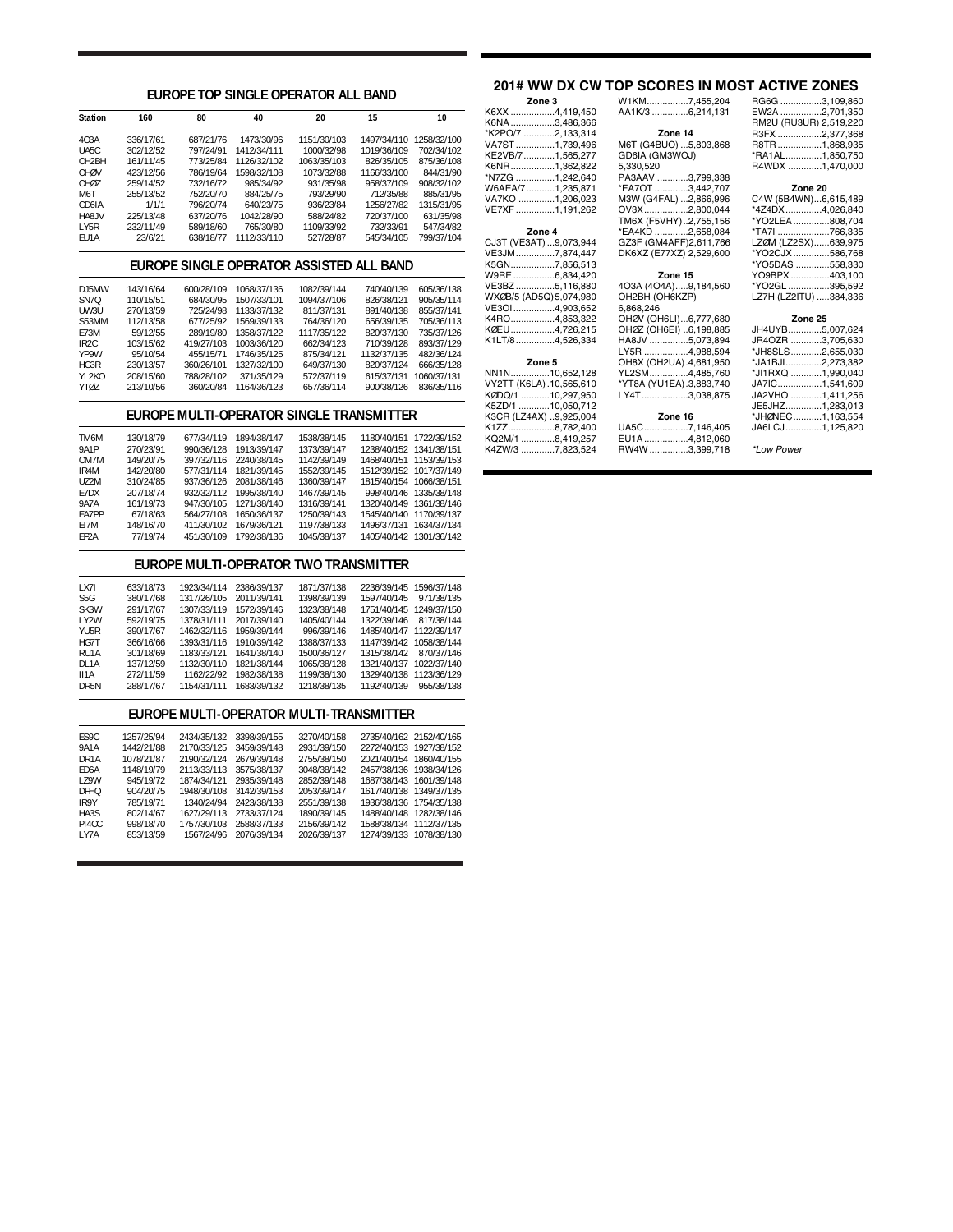#### **EUROPE TOP SINGLE OPERATOR ALL BAND**

| <b>Station</b>     | 160       | 80        | 40          | 20          | 15          | 10          |
|--------------------|-----------|-----------|-------------|-------------|-------------|-------------|
| 403A               | 336/17/61 | 687/21/76 | 1473/30/96  | 1151/30/103 | 1497/34/110 | 1258/32/100 |
| UA5C               | 302/12/52 | 797/24/91 | 1412/34/111 | 1000/32/98  | 1019/36/109 | 702/34/102  |
| OH <sub>2</sub> BH | 161/11/45 | 773/25/84 | 1126/32/102 | 1063/35/103 | 826/35/105  | 875/36/108  |
| OHØV               | 423/12/56 | 786/19/64 | 1598/32/108 | 1073/32/88  | 1166/33/100 | 844/31/90   |
| OH <sub>07</sub>   | 259/14/52 | 732/16/72 | 985/34/92   | 931/35/98   | 958/37/109  | 908/32/102  |
| M <sub>6</sub> T   | 255/13/52 | 752/20/70 | 884/25/75   | 793/29/90   | 712/35/88   | 885/31/95   |
| GD6IA              | 1/1/1     | 796/20/74 | 640/23/75   | 936/23/84   | 1256/27/82  | 1315/31/95  |
| HA8JV              | 225/13/48 | 637/20/76 | 1042/28/90  | 588/24/82   | 720/37/100  | 631/35/98   |
| <b>IY5R</b>        | 232/11/49 | 589/18/60 | 765/30/80   | 1109/33/92  | 732/33/91   | 547/34/82   |
| FU <sub>1</sub> A  | 23/6/21   | 638/18/77 | 1112/33/110 | 527/28/87   | 545/34/105  | 799/37/104  |
|                    |           |           |             |             |             |             |

#### **EUROPE SINGLE OPERATOR ASSISTED ALL BAND**

| DJ5MW             | 143/16/64 | 600/28/109 | 1068/37/136 | 1082/39/144 | 740/40/139  | 605/36/138  |
|-------------------|-----------|------------|-------------|-------------|-------------|-------------|
| SN <sub>70</sub>  | 110/15/51 | 684/30/95  | 1507/33/101 | 1094/37/106 | 826/38/121  | 905/35/114  |
| UW3U              | 270/13/59 | 725/24/98  | 1133/37/132 | 811/37/131  | 891/40/138  | 855/37/141  |
| S53MM             | 112/13/58 | 677/25/92  | 1569/39/133 | 764/36/120  | 656/39/135  | 705/36/113  |
| F73M              | 59/12/55  | 289/19/80  | 1358/37/122 | 1117/35/122 | 820/37/130  | 735/37/126  |
| IR <sub>2</sub> C | 103/15/62 | 419/27/103 | 1003/36/120 | 662/34/123  | 710/39/128  | 893/37/129  |
| YP9W              | 95/10/54  | 455/15/71  | 1746/35/125 | 875/34/121  | 1132/37/135 | 482/36/124  |
| HG3R              | 230/13/57 | 360/26/101 | 1327/32/100 | 649/37/130  | 820/37/124  | 666/35/128  |
| YI 2KO            | 208/15/60 | 788/28/102 | 371/35/129  | 572/37/119  | 615/37/131  | 1060/37/131 |
| YTØ7              | 213/10/56 | 360/20/84  | 1164/36/123 | 657/36/114  | 900/38/126  | 836/35/116  |
|                   |           |            |             |             |             |             |

#### **EUROPE MULTI-OPERATOR SINGLE TRANSMITTER**

| TM6M              | 130/18/79 | 677/34/119 | 1894/38/147 | 1538/38/145 | 1180/40/151 1722/39/152 |
|-------------------|-----------|------------|-------------|-------------|-------------------------|
| <b>9A1P</b>       | 270/23/91 | 990/36/128 | 1913/39/147 | 1373/39/147 | 1238/40/152 1341/38/151 |
| OM7M              | 149/20/75 | 397/32/116 | 2240/38/145 | 1142/39/149 | 1468/40/151 1153/39/153 |
| IR4M              | 142/20/80 | 577/31/114 | 1821/39/145 | 1552/39/145 | 1512/39/152 1017/37/149 |
| U72M              | 310/24/85 | 937/36/126 | 2081/38/146 | 1360/39/147 | 1815/40/154 1066/38/151 |
| F7DX              | 207/18/74 | 932/32/112 | 1995/38/140 | 1467/39/145 | 998/40/146 1335/38/148  |
| <b>9A7A</b>       | 161/19/73 | 947/30/105 | 1271/38/140 | 1316/39/141 | 1320/40/149 1361/38/146 |
| FA7PP             | 67/18/63  | 564/27/108 | 1650/36/137 | 1250/39/143 | 1545/40/140 1170/39/137 |
| F17M              | 148/16/70 | 411/30/102 | 1679/36/121 | 1197/38/133 | 1496/37/131 1634/37/134 |
| FF <sub>2</sub> A | 77/19/74  | 451/30/109 | 1792/38/136 | 1045/38/137 | 1405/40/142 1301/36/142 |
|                   |           |            |             |             |                         |

#### **EUROPE MULTI-OPERATOR TWO TRANSMITTER**

| 1 X71             | 633/18/73 | 1923/34/114 | 2386/39/137 | 1871/37/138 | 2236/39/145 1596/37/148 |             |
|-------------------|-----------|-------------|-------------|-------------|-------------------------|-------------|
| S <sub>5</sub> G  | 380/17/68 | 1317/26/105 | 2011/39/141 | 1398/39/139 | 1597/40/145             | 971/38/135  |
| SK3W              | 291/17/67 | 1307/33/119 | 1572/39/146 | 1323/38/148 | 1751/40/145 1249/37/150 |             |
| IY <sub>2</sub> W | 592/19/75 | 1378/31/111 | 2017/39/140 | 1405/40/144 | 1322/39/146             | 817/38/144  |
| YU5R              | 390/17/67 | 1462/32/116 | 1959/39/144 | 996/39/146  | 1485/40/147 1122/39/147 |             |
| HG7T              | 366/16/66 | 1393/31/116 | 1910/39/142 | 1388/37/133 | 1147/39/142 1058/38/144 |             |
| RU <sub>1</sub> A | 301/18/69 | 1183/33/121 | 1641/38/140 | 1500/36/127 | 1315/38/142             | 870/37/146  |
| DI 1A             | 137/12/59 | 1132/30/110 | 1821/38/144 | 1065/38/128 | 1321/40/137             | 1022/37/140 |
| II1A              | 272/11/59 | 1162/22/92  | 1982/38/138 | 1199/38/130 | 1329/40/138             | 1123/36/129 |
| DR5N              | 288/17/67 | 1154/31/111 | 1683/39/132 | 1218/38/135 | 1192/40/139             | 955/38/138  |
|                   |           |             |             |             |                         |             |

#### **EUROPE MULTI-OPERATOR MULTI-TRANSMITTER**

| FS9C              | 1257/25/94 | 2434/35/132 | 3398/39/155 | 3270/40/158 | 2735/40/162 2152/40/165 |                         |
|-------------------|------------|-------------|-------------|-------------|-------------------------|-------------------------|
| <b>9A1A</b>       | 1442/21/88 | 2170/33/125 | 3459/39/148 | 2931/39/150 | 2272/40/153 1927/38/152 |                         |
| DR <sub>1</sub> A | 1078/21/87 | 2190/32/124 | 2679/39/148 | 2755/38/150 | 2021/40/154 1860/40/155 |                         |
| FD <sub>6</sub> A | 1148/19/79 | 2113/33/113 | 3575/38/137 | 3048/38/142 | 2457/38/136 1938/34/126 |                         |
| 179W              | 945/19/72  | 1874/34/121 | 2935/39/148 | 2852/39/148 |                         | 1687/38/143 1601/39/148 |
| <b>DFHO</b>       | 904/20/75  | 1948/30/108 | 3142/39/153 | 2053/39/147 |                         | 1617/40/138 1349/37/135 |
| IR9Y              | 785/19/71  | 1340/24/94  | 2423/38/138 | 2551/39/138 |                         | 1936/38/136 1754/35/138 |
| HA3S              | 802/14/67  | 1627/29/113 | 2733/37/124 | 1890/39/145 |                         | 1488/40/148 1282/38/146 |
| PI4CC             | 998/18/70  | 1757/30/103 | 2588/37/133 | 2156/39/142 |                         | 1588/38/134 1112/37/135 |
| I Y7A             | 853/13/59  | 1567/24/96  | 2076/39/134 | 2026/39/137 |                         | 1274/39/133 1078/38/130 |
|                   |            |             |             |             |                         |                         |

# W1KM................7,455,204 AA1K/3 ..............6,214,131 **201# WW DX CW TOP SCORES IN MOST ACTIVE ZONES**

| Zone 3                                                                                                                                                                                          |  |  |  |  |  |
|-------------------------------------------------------------------------------------------------------------------------------------------------------------------------------------------------|--|--|--|--|--|
| K6XX 4,419,450<br>K6NA 3,486,366<br>*K2PO/7 2,133,314<br>VA7ST1,739,496<br>KE2VB/7 1,565,277<br>K6NR1,362,822<br>*N7ZG 1,242,640                                                                |  |  |  |  |  |
| W6AEA/71,235,871<br>VA7KO 1,206,023<br>VE7XF 1,191,262                                                                                                                                          |  |  |  |  |  |
| Zone 4                                                                                                                                                                                          |  |  |  |  |  |
| CJ3T (VE3AT)9,073,944<br>VE3JM7,874,447<br>K5GN7,856,513<br>W9RE 6,834,420<br>VE3BZ5,116,880<br>WXØB/5 (AD5Q) 5,074,980<br>VE3OI4,903,652<br>K4RO4,853,322<br>KØEU 4,726,215<br>K1LT/84.526.334 |  |  |  |  |  |
| Zone 5                                                                                                                                                                                          |  |  |  |  |  |
| NN1N10,652,128<br>VY2TT (K6LA).10,565,610<br>KØDQ/1 10,297,950<br>K5ZD/1 10,050,712<br>K3CR (LZ4AX) 9,925,004<br>K1ZZ8,782,400<br>KQ2M/1 8,419,257                                              |  |  |  |  |  |
| K4ZW/3 7,823,524                                                                                                                                                                                |  |  |  |  |  |

| Zone 14                 |  |  |  |  |  |  |
|-------------------------|--|--|--|--|--|--|
| M6T (G4BUO) 5,803,868   |  |  |  |  |  |  |
| GD6IA (GM3WOJ)          |  |  |  |  |  |  |
| 5.330.520               |  |  |  |  |  |  |
| PA3AAV 3.799.338        |  |  |  |  |  |  |
| *EA7OT 3,442,707        |  |  |  |  |  |  |
| M3W (G4FAL) 2,866,996   |  |  |  |  |  |  |
| OV3X2,800,044           |  |  |  |  |  |  |
| TM6X (F5VHY)2,755,156   |  |  |  |  |  |  |
| *EA4KD 2,658,084        |  |  |  |  |  |  |
| GZ3F (GM4AFF)2,611,766  |  |  |  |  |  |  |
| DK6XZ (E77XZ) 2,529,600 |  |  |  |  |  |  |
|                         |  |  |  |  |  |  |
| Zone 15                 |  |  |  |  |  |  |

| -----                  |
|------------------------|
| 4O3A (4O4A)9,184,560   |
| OH2BH (OH6KZP)         |
| 6.868.246              |
| OHØV (OH6LI)6,777,680  |
| OHØZ (OH6EI) 6,198,885 |

| $7 - - - 10$            |  |
|-------------------------|--|
| LY4T3,038,875           |  |
| *YT8A (YU1EA).3,883,740 |  |
| YL2SM4.485.760          |  |
| OH8X (OH2UA).4,681,950  |  |
| LY5R 4,988,594          |  |
| HA8JV 5.073.894         |  |
| OHØZ (OH6EI) 6,198,885  |  |
|                         |  |

| Zone 16        |  |  |  |  |
|----------------|--|--|--|--|
| UA5C 7,146,405 |  |  |  |  |
| EU1A 4.812.060 |  |  |  |  |
| RW4W 3.399.718 |  |  |  |  |
|                |  |  |  |  |

| RG6G 3.109.860         |  |
|------------------------|--|
| EW2A 2.701.350         |  |
| RM2U (RU3UR) 2,519,220 |  |
| R3FX 2.377.368         |  |
| R8TR1.868.935          |  |
| *RA1AL1.850.750        |  |
| R4WDX 1.470.000        |  |
|                        |  |

#### **Zone 20**

| C4W (5B4WN)6,615,489  |  |
|-----------------------|--|
| *4Z4DX4.026.840       |  |
| *YO2LEA808,704        |  |
| *TA7I 766.335         |  |
| LZØM (LZ2SX)639,975   |  |
| *YO2CJX586,768        |  |
| *YO5DAS 558,330       |  |
| YO9BPX403.100         |  |
| *YO2GL395.592         |  |
| LZ7H (LZ2ITU) 384,336 |  |
|                       |  |

#### **Zone 25**

| JH4UYB5.007.624   |  |
|-------------------|--|
| JR4OZR 3.705.630  |  |
| *JH8SLS2.655.030  |  |
| *JA1BJI2.273.382  |  |
| *JI1RXQ 1.990.040 |  |
| JA7IC1,541,609    |  |
| JA2VHO 1.411.256  |  |
| JE5JHZ1.283.013   |  |
| *JHØNEC1.163.554  |  |
| JA6LCJ1.125.820   |  |
|                   |  |

*<sup>\*</sup>Low Power*